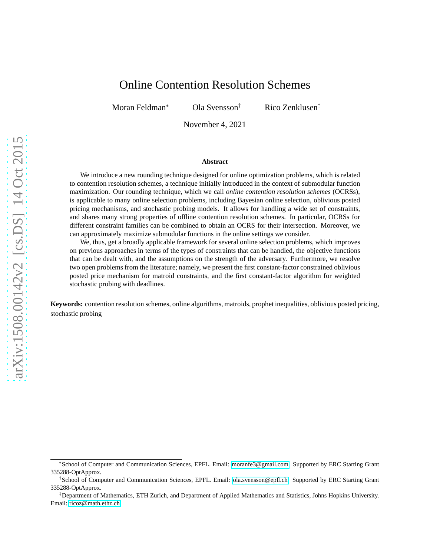# Online Contention Resolution Schemes

Moran Feldman<sup>∗</sup> Ola Svensson† Rico Zenklusen‡

November 4, 2021

#### **Abstract**

We introduce a new rounding technique designed for online optimization problems, which is related to contention resolution schemes, a technique initially introduced in the context of submodular function maximization. Our rounding technique, which we call *online contention resolution schemes* (OCRSs), is applicable to many online selection problems, including Bayesian online selection, oblivious posted pricing mechanisms, and stochastic probing models. It allows for handling a wide set of constraints, and shares many strong properties of offline contention resolution schemes. In particular, OCRSs for different constraint families can be combined to obtain an OCRS for their intersection. Moreover, we can approximately maximize submodular functions in the online settings we consider.

We, thus, get a broadly applicable framework for several online selection problems, which improves on previous approaches in terms of the types of constraints that can be handled, the objective functions that can be dealt with, and the assumptions on the strength of the adversary. Furthermore, we resolve two open problems from the literature; namely, we present the first constant-factor constrained oblivious posted price mechanism for matroid constraints, and the first constant-factor algorithm for weighted stochastic probing with deadlines.

**Keywords:** contention resolution schemes, online algorithms, matroids, prophet inequalities, oblivious posted pricing, stochastic probing

<sup>∗</sup>School of Computer and Communication Sciences, EPFL. Email: [moranfe3@gmail.com.](mailto:moranfe3@gmail.com) Supported by ERC Starting Grant 335288-OptApprox.

<sup>†</sup>School of Computer and Communication Sciences, EPFL. Email: [ola.svensson@epfl.ch.](mailto:ola.svensson@epfl.ch) Supported by ERC Starting Grant 335288-OptApprox.

<sup>‡</sup>Department of Mathematics, ETH Zurich, and Department of Applied Mathematics and Statistics, Johns Hopkins University. Email: [ricoz@math.ethz.ch.](mailto:ricoz@math.ethz.ch)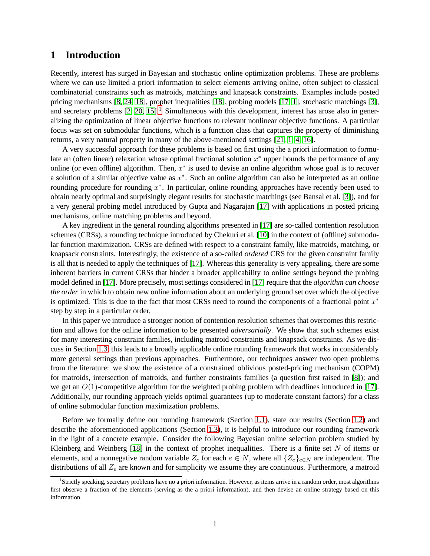# **1 Introduction**

Recently, interest has surged in Bayesian and stochastic online optimization problems. These are problems where we can use limited a priori information to select elements arriving online, often subject to classical combinatorial constraints such as matroids, matchings and knapsack constraints. Examples include posted pricing mechanisms [\[8,](#page-30-0) [24,](#page-31-0) [18\]](#page-31-1), prophet inequalities [\[18\]](#page-31-1), probing models [\[17,](#page-31-2) [1\]](#page-30-1), stochastic matchings [\[3\]](#page-30-2), and secretary problems  $[2, 20, 15]$  $[2, 20, 15]$  $[2, 20, 15]$ .<sup>[1](#page-1-0)</sup> Simultaneous with this development, interest has arose also in generalizing the optimization of linear objective functions to relevant nonlinear objective functions. A particular focus was set on submodular functions, which is a function class that captures the property of diminishing returns, a very natural property in many of the above-mentioned settings [\[21,](#page-31-4) [1,](#page-30-1) [4,](#page-30-5) [16\]](#page-31-5).

A very successful approach for these problems is based on first using the a priori information to formulate an (often linear) relaxation whose optimal fractional solution  $x^*$  upper bounds the performance of any online (or even offline) algorithm. Then,  $x^*$  is used to devise an online algorithm whose goal is to recover a solution of a similar objective value as  $x^*$ . Such an online algorithm can also be interpreted as an online rounding procedure for rounding  $x^*$ . In particular, online rounding approaches have recently been used to obtain nearly optimal and surprisingly elegant results for stochastic matchings (see Bansal et al. [\[3\]](#page-30-2)), and for a very general probing model introduced by Gupta and Nagarajan [\[17\]](#page-31-2) with applications in posted pricing mechanisms, online matching problems and beyond.

A key ingredient in the general rounding algorithms presented in [\[17\]](#page-31-2) are so-called contention resolution schemes (CRSs), a rounding technique introduced by Chekuri et al. [\[10\]](#page-30-6) in the context of (offline) submodular function maximization. CRSs are defined with respect to a constraint family, like matroids, matching, or knapsack constraints. Interestingly, the existence of a so-called *ordered* CRS for the given constraint family is all that is needed to apply the techniques of [\[17\]](#page-31-2). Whereas this generality is very appealing, there are some inherent barriers in current CRSs that hinder a broader applicability to online settings beyond the probing model defined in [\[17\]](#page-31-2). More precisely, most settings considered in [\[17\]](#page-31-2) require that the *algorithm can choose the order* in which to obtain new online information about an underlying ground set over which the objective is optimized. This is due to the fact that most CRSs need to round the components of a fractional point  $x^*$ step by step in a particular order.

In this paper we introduce a stronger notion of contention resolution schemes that overcomes this restriction and allows for the online information to be presented *adversarially*. We show that such schemes exist for many interesting constraint families, including matroid constraints and knapsack constraints. As we discuss in Section [1.3,](#page-5-0) this leads to a broadly applicable online rounding framework that works in considerably more general settings than previous approaches. Furthermore, our techniques answer two open problems from the literature: we show the existence of a constrained oblivious posted-pricing mechanism (COPM) for matroids, intersection of matroids, and further constraints families (a question first raised in [\[8\]](#page-30-0)); and we get an  $O(1)$ -competitive algorithm for the weighted probing problem with deadlines introduced in [\[17\]](#page-31-2). Additionally, our rounding approach yields optimal guarantees (up to moderate constant factors) for a class of online submodular function maximization problems.

Before we formally define our rounding framework (Section [1.1\)](#page-2-0), state our results (Section [1.2\)](#page-4-0) and describe the aforementioned applications (Section [1.3\)](#page-5-0), it is helpful to introduce our rounding framework in the light of a concrete example. Consider the following Bayesian online selection problem studied by Kleinberg and Weinberg  $[18]$  in the context of prophet inequalities. There is a finite set N of items or elements, and a nonnegative random variable  $Z_e$  for each  $e \in N$ , where all  $\{Z_e\}_{e \in N}$  are independent. The distributions of all  $Z_e$  are known and for simplicity we assume they are continuous. Furthermore, a matroid

<span id="page-1-0"></span><sup>1</sup> Strictly speaking, secretary problems have no a priori information. However, as items arrive in a random order, most algorithms first observe a fraction of the elements (serving as the a priori information), and then devise an online strategy based on this information.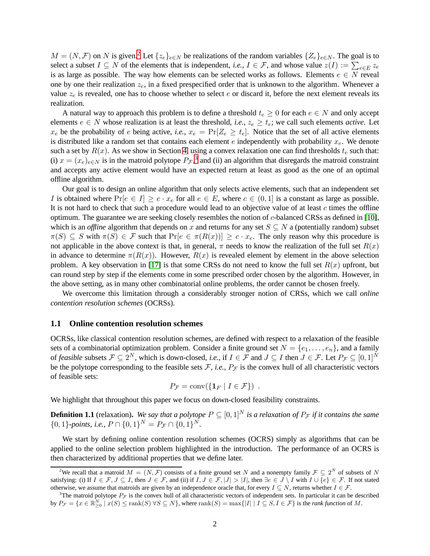$M = (N, \mathcal{F})$  on N is given.<sup>[2](#page-2-1)</sup> Let  $\{z_e\}_{e \in N}$  be realizations of the random variables  $\{Z_e\}_{e \in N}$ . The goal is to select a subset  $I \subseteq N$  of the elements that is independent, *i.e.*,  $I \in \mathcal{F}$ , and whose value  $z(I) := \sum_{e \in E} z_e$ is as large as possible. The way how elements can be selected works as follows. Elements  $e \in N$  reveal one by one their realization  $z_e$ , in a fixed prespecified order that is unknown to the algorithm. Whenever a value  $z_e$  is revealed, one has to choose whether to select e or discard it, before the next element reveals its realization.

A natural way to approach this problem is to define a threshold  $t_e \geq 0$  for each  $e \in N$  and only accept elements  $e \in N$  whose realization is at least the threshold, *i.e.*,  $z_e \geq t_e$ ; we call such elements *active*. Let  $x_e$  be the probability of e being active, *i.e.*,  $x_e = \Pr[Z_e \ge t_e]$ . Notice that the set of all active elements is distributed like a random set that contains each element e independently with probability  $x_e$ . We denote such a set by  $R(x)$ . As we show in Section [4,](#page-22-0) using a convex relaxation one can find thresholds  $t_e$  such that: (i)  $x = (x_e)_{e \in N}$  is in the matroid polytope  $P_{\mathcal{F}}$ ,<sup>[3](#page-2-2)</sup> and (ii) an algorithm that disregards the matroid constraint and accepts any active element would have an expected return at least as good as the one of an optimal offline algorithm.

Our goal is to design an online algorithm that only selects active elements, such that an independent set I is obtained where  $Pr[e \in I] \geq c \cdot x_e$  for all  $e \in E$ , where  $c \in (0,1]$  is a constant as large as possible. It is not hard to check that such a procedure would lead to an objective value of at least  $c$  times the offline optimum. The guarantee we are seeking closely resembles the notion of c-balanced CRSs as defined in [\[10\]](#page-30-6), which is an *offline* algorithm that depends on x and returns for any set  $S \subseteq N$  a (potentially random) subset  $\pi(S) \subseteq S$  with  $\pi(S) \in \mathcal{F}$  such that  $\Pr[e \in \pi(R(x))] \geq c \cdot x_e$ . The only reason why this procedure is not applicable in the above context is that, in general,  $\pi$  needs to know the realization of the full set  $R(x)$ in advance to determine  $\pi(R(x))$ . However,  $R(x)$  is revealed element by element in the above selection problem. A key observation in [\[17\]](#page-31-2) is that some CRSs do not need to know the full set  $R(x)$  upfront, but can round step by step if the elements come in some prescribed order chosen by the algorithm. However, in the above setting, as in many other combinatorial online problems, the order cannot be chosen freely.

We overcome this limitation through a considerably stronger notion of CRSs, which we call *online contention resolution schemes* (OCRSs).

#### <span id="page-2-0"></span>**1.1 Online contention resolution schemes**

OCRSs, like classical contention resolution schemes, are defined with respect to a relaxation of the feasible sets of a combinatorial optimization problem. Consider a finite ground set  $N = \{e_1, \ldots, e_n\}$ , and a family of *feasible* subsets  $\mathcal{F} \subseteq 2^N$ , which is down-closed, *i.e.*, if  $I \in \mathcal{F}$  and  $J \subseteq I$  then  $J \in \mathcal{F}$ . Let  $P_{\mathcal{F}} \subseteq [0,1]^N$ be the polytope corresponding to the feasible sets  $\mathcal{F}$ , *i.e.*,  $P_{\mathcal{F}}$  is the convex hull of all characteristic vectors of feasible sets:

$$
P_{\mathcal{F}} = \text{conv}(\{\mathbf{1}_F \mid I \in \mathcal{F}\}) \enspace .
$$

We highlight that throughout this paper we focus on down-closed feasibility constraints.

**Definition 1.1** (relaxation). *We say that a polytope*  $P \subseteq [0, 1]^N$  *is a relaxation of*  $P_{\mathcal{F}}$  *if it contains the same*  $\{0, 1\}$ -points, i.e.,  $P \cap \{0, 1\}^N = P_{\mathcal{F}} \cap \{0, 1\}^N$ .

We start by defining online contention resolution schemes (OCRS) simply as algorithms that can be applied to the online selection problem highlighted in the introduction. The performance of an OCRS is then characterized by additional properties that we define later.

<span id="page-2-1"></span><sup>&</sup>lt;sup>2</sup>We recall that a matroid  $M = (N, \mathcal{F})$  consists of a finite ground set N and a nonempty family  $\mathcal{F} \subseteq 2^N$  of subsets of N satisfying: (i) If  $I \in \mathcal{F}, J \subseteq I$ , then  $J \in \mathcal{F}$ , and (ii) if  $I, J \in \mathcal{F}, |J| > |I|$ , then  $\exists e \in J \setminus I$  with  $I \cup \{e\} \in \mathcal{F}$ . If not stated otherwise, we assume that matroids are given by an independence oracle that, for every  $I \subseteq N$ , returns whether  $I \in \mathcal{F}$ .

<span id="page-2-2"></span><sup>&</sup>lt;sup>3</sup>The matroid polytope  $P_{\mathcal{F}}$  is the convex hull of all characteristic vectors of independent sets. In particular it can be described by  $P_{\mathcal{F}} = \{x \in \mathbb{R}_{\geq 0}^N \mid x(S) \leq \text{rank}(S) \,\forall S \subseteq N\}$ , where  $\text{rank}(S) = \max\{|I| \mid I \subseteq S, I \in \mathcal{F}\}$  is the *rank function* of M.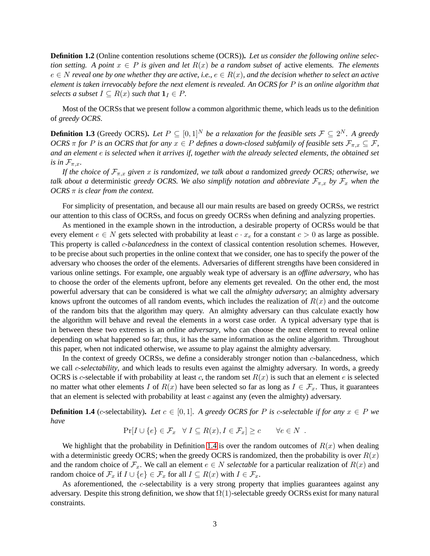**Definition 1.2** (Online contention resolutions scheme (OCRS))**.** *Let us consider the following online selection setting.* A point  $x \in P$  *is given and let*  $R(x)$  *be a random subset of* active elements. The elements e ∈ N *reveal one by one whether they are active, i.e.,* e ∈ R(x)*, and the decision whether to select an active element is taken irrevocably before the next element is revealed. An OCRS for* P *is an online algorithm that selects a subset*  $I \subseteq R(x)$  *such that*  $\mathbf{1}_I \in P$ *.* 

Most of the OCRSs that we present follow a common algorithmic theme, which leads us to the definition of *greedy OCRS*.

**Definition 1.3** (Greedy OCRS). Let  $P \subseteq [0,1]^N$  be a relaxation for the feasible sets  $\mathcal{F} \subseteq 2^N$ . A greedy *OCRS*  $\pi$  *for* P *is an OCRS that for any*  $x \in P$  *defines a down-closed subfamily of feasible sets*  $\mathcal{F}_{\pi,x} \subseteq \mathcal{F}$ , *and an element* e *is selected when it arrives if, together with the already selected elements, the obtained set is in*  $\mathcal{F}_{\pi,x}$ *.* 

*If the choice of*  $\mathcal{F}_{\pi,x}$  *given* x *is randomized, we talk about a* randomized *greedy OCRS; otherwise, we talk about a* deterministic *greedy OCRS. We also simplify notation and abbreviate*  $\mathcal{F}_{\pi,x}$  *by*  $\mathcal{F}_x$  *when the OCRS* π *is clear from the context.*

For simplicity of presentation, and because all our main results are based on greedy OCRSs, we restrict our attention to this class of OCRSs, and focus on greedy OCRSs when defining and analyzing properties.

As mentioned in the example shown in the introduction, a desirable property of OCRSs would be that every element  $e \in N$  gets selected with probability at least  $c \cdot x_e$  for a constant  $c > 0$  as large as possible. This property is called c*-balancedness* in the context of classical contention resolution schemes. However, to be precise about such properties in the online context that we consider, one has to specify the power of the adversary who chooses the order of the elements. Adversaries of different strengths have been considered in various online settings. For example, one arguably weak type of adversary is an *offline adversary*, who has to choose the order of the elements upfront, before any elements get revealed. On the other end, the most powerful adversary that can be considered is what we call the *almighty adversary*; an almighty adversary knows upfront the outcomes of all random events, which includes the realization of  $R(x)$  and the outcome of the random bits that the algorithm may query. An almighty adversary can thus calculate exactly how the algorithm will behave and reveal the elements in a worst case order. A typical adversary type that is in between these two extremes is an *online adversary*, who can choose the next element to reveal online depending on what happened so far; thus, it has the same information as the online algorithm. Throughout this paper, when not indicated otherwise, we assume to play against the almighty adversary.

In the context of greedy OCRSs, we define a considerably stronger notion than c-balancedness, which we call c*-selectability*, and which leads to results even against the almighty adversary. In words, a greedy OCRS is c-selectable if with probability at least c, the random set  $R(x)$  is such that an element e is selected no matter what other elements I of  $R(x)$  have been selected so far as long as  $I \in \mathcal{F}_x$ . Thus, it guarantees that an element is selected with probability at least  $c$  against any (even the almighty) adversary.

<span id="page-3-0"></span>**Definition 1.4** (c-selectability). Let  $c \in [0, 1]$ . A greedy OCRS for P is c-selectable if for any  $x \in P$  we *have*

$$
\Pr[I \cup \{e\} \in \mathcal{F}_x \quad \forall I \subseteq R(x), I \in \mathcal{F}_x] \ge c \qquad \forall e \in N.
$$

We highlight that the probability in Definition [1.4](#page-3-0) is over the random outcomes of  $R(x)$  when dealing with a deterministic greedy OCRS; when the greedy OCRS is randomized, then the probability is over  $R(x)$ and the random choice of  $\mathcal{F}_x$ . We call an element  $e \in N$  *selectable* for a particular realization of  $R(x)$  and random choice of  $\mathcal{F}_x$  if  $I \cup \{e\} \in \mathcal{F}_x$  for all  $I \subseteq R(x)$  with  $I \in \mathcal{F}_x$ .

As aforementioned, the *c*-selectability is a very strong property that implies guarantees against any adversary. Despite this strong definition, we show that  $\Omega(1)$ -selectable greedy OCRSs exist for many natural constraints.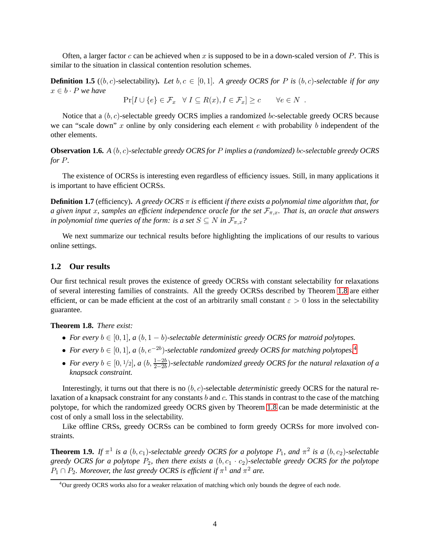Often, a larger factor c can be achieved when x is supposed to be in a down-scaled version of  $P$ . This is similar to the situation in classical contention resolution schemes.

**Definition 1.5** ((b, c)-selectability). Let  $b, c \in [0, 1]$ . A greedy OCRS for P is  $(b, c)$ -selectable if for any  $x \in b \cdot P$  *we have* 

 $Pr[I \cup \{e\} \in \mathcal{F}_x \quad \forall I \subseteq R(x), I \in \mathcal{F}_x] \ge c \qquad \forall e \in N$ .

Notice that a  $(b, c)$ -selectable greedy OCRS implies a randomized bc-selectable greedy OCRS because we can "scale down" x online by only considering each element  $e$  with probability  $b$  independent of the other elements.

<span id="page-4-4"></span>**Observation 1.6.** *A* (b, c)*-selectable greedy OCRS for* P *implies a (randomized)* bc*-selectable greedy OCRS for* P*.*

The existence of OCRSs is interesting even regardless of efficiency issues. Still, in many applications it is important to have efficient OCRSs.

**Definition 1.7** (efficiency)**.** *A greedy OCRS* π *is* efficient *if there exists a polynomial time algorithm that, for a* given input x, samples an efficient independence oracle for the set  $\mathcal{F}_{\pi,x}$ . That is, an oracle that answers *in polynomial time queries of the form: is a set*  $S \subseteq N$  *in*  $\mathcal{F}_{\pi,x}$ ?

We next summarize our technical results before highlighting the implications of our results to various online settings.

### <span id="page-4-0"></span>**1.2 Our results**

Our first technical result proves the existence of greedy OCRSs with constant selectability for relaxations of several interesting families of constraints. All the greedy OCRSs described by Theorem [1.8](#page-4-1) are either efficient, or can be made efficient at the cost of an arbitrarily small constant  $\varepsilon > 0$  loss in the selectability guarantee.

<span id="page-4-1"></span>**Theorem 1.8.** *There exist:*

- For every  $b \in [0, 1]$ ,  $a (b, 1 b)$ -selectable deterministic greedy OCRS for matroid polytopes.
- For every  $b \in [0,1]$ , a  $(b, e^{-2b})$ -selectable randomized greedy OCRS for matching polytopes.<sup>[4](#page-4-2)</sup>
- For every  $b \in [0, 1/2]$ , a  $(b, \frac{1-2b}{2-2b})$ -selectable randomized greedy OCRS for the natural relaxation of a *knapsack constraint.*

Interestingly, it turns out that there is no  $(b, c)$ -selectable *deterministic* greedy OCRS for the natural relaxation of a knapsack constraint for any constants b and c. This stands in contrast to the case of the matching polytope, for which the randomized greedy OCRS given by Theorem [1.8](#page-4-1) can be made deterministic at the cost of only a small loss in the selectability.

Like offline CRSs, greedy OCRSs can be combined to form greedy OCRSs for more involved constraints.

<span id="page-4-3"></span>**Theorem 1.9.** If  $\pi^1$  is a  $(b, c_1)$ -selectable greedy OCRS for a polytope  $P_1$ , and  $\pi^2$  is a  $(b, c_2)$ -selectable *greedy OCRS for a polytope*  $P_2$ *, then there exists a*  $(b, c_1 \cdot c_2)$ *-selectable greedy OCRS for the polytope*  $P_1 \cap P_2$ . Moreover, the last greedy OCRS is efficient if  $\pi^1$  and  $\pi^2$  are.

<span id="page-4-2"></span><sup>&</sup>lt;sup>4</sup>Our greedy OCRS works also for a weaker relaxation of matching which only bounds the degree of each node.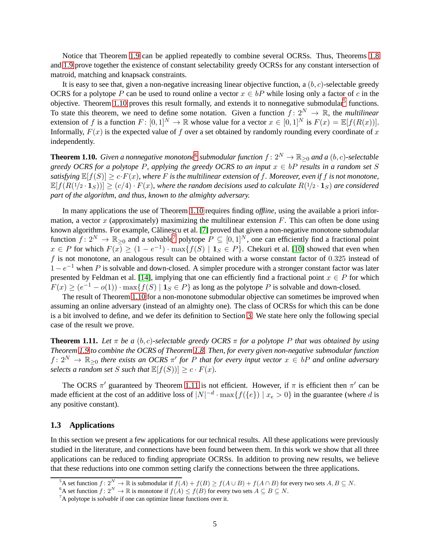Notice that Theorem [1.9](#page-4-3) can be applied repeatedly to combine several OCRSs. Thus, Theorems [1.8](#page-4-1) and [1.9](#page-4-3) prove together the existence of constant selectability greedy OCRSs for any constant intersection of matroid, matching and knapsack constraints.

It is easy to see that, given a non-negative increasing linear objective function, a  $(b, c)$ -selectable greedy OCRS for a polytope P can be used to round online a vector  $x \in bP$  while losing only a factor of c in the objective. Theorem [1.10](#page-5-1) proves this result formally, and extends it to nonnegative submodular<sup>[5](#page-5-2)</sup> functions. To state this theorem, we need to define some notation. Given a function  $f: 2^N \to \mathbb{R}$ , the *multilinear* extension of f is a function  $F: [0,1]^N \to \mathbb{R}$  whose value for a vector  $x \in [0,1]^N$  is  $F(x) = \mathbb{E}[f(R(x))].$ Informally,  $F(x)$  is the expected value of f over a set obtained by randomly rounding every coordinate of x independently.

<span id="page-5-1"></span>**Theorem 1.10.** Given a nonnegative monotone<sup>[6](#page-5-3)</sup> submodular function  $f: 2^N \to \mathbb{R}_{\geq 0}$  and a  $(b, c)$ -selectable *greedy OCRS for a polytope P, applying the greedy OCRS to an input*  $x \in bP$  *results in a random set* S *satisfying*  $\mathbb{E}[f(S)] \ge c \cdot F(x)$ *, where* F *is the multilinear extension of* f. Moreover, even if f *is not monotone*,  $\mathbb{E}[f(R(1/2 \cdot \mathbf{1}_S))] \ge (c/4) \cdot F(x)$ , where the random decisions used to calculate  $R(1/2 \cdot \mathbf{1}_S)$  are considered *part of the algorithm, and thus, known to the almighty adversary.*

In many applications the use of Theorem [1.10](#page-5-1) requires finding *offline*, using the available a priori information, a vector x (approximately) maximizing the multilinear extension  $F$ . This can often be done using known algorithms. For example, Călinescu et al. [\[7\]](#page-30-7) proved that given a non-negative monotone submodular function  $f: 2^N \to \mathbb{R}_{\geq 0}$  and a solvable<sup>[7](#page-5-4)</sup> polytope  $P \subseteq [0, 1]^N$ , one can efficiently find a fractional point  $x \in P$  for which  $F(x) \ge (1 - e^{-1}) \cdot \max\{f(S) \mid 1_S \in P\}$ . Chekuri et al. [\[10\]](#page-30-6) showed that even when  $f$  is not monotone, an analogous result can be obtained with a worse constant factor of  $0.325$  instead of  $1 - e^{-1}$  when P is solvable and down-closed. A simpler procedure with a stronger constant factor was later presented by Feldman et al. [\[14\]](#page-30-8), implying that one can efficiently find a fractional point  $x \in P$  for which  $F(x) \ge (e^{-1} - o(1)) \cdot \max\{f(S) \mid \mathbf{1}_S \in P\}$  as long as the polytope P is solvable and down-closed.

The result of Theorem [1.10](#page-5-1) for a non-monotone submodular objective can sometimes be improved when assuming an online adversary (instead of an almighty one). The class of OCRSs for which this can be done is a bit involved to define, and we defer its definition to Section [3.](#page-16-0) We state here only the following special case of the result we prove.

<span id="page-5-5"></span>**Theorem 1.11.** Let  $\pi$  be a (b, c)-selectable greedy OCRS  $\pi$  for a polytope P that was obtained by using *Theorem [1.9](#page-4-3) to combine the OCRS of Theorem [1.8.](#page-4-1) Then, for every given non-negative submodular function*  $f: 2^N \to \mathbb{R}_{\geq 0}$  there exists an OCRS  $\pi'$  for P that for every input vector  $x \in bP$  and online adversary *selects a random set* S *such that*  $\mathbb{E}[f(S)] \geq c \cdot F(x)$ *.* 

The OCRS  $\pi'$  guaranteed by Theorem [1.11](#page-5-5) is not efficient. However, if  $\pi$  is efficient then  $\pi'$  can be made efficient at the cost of an additive loss of  $|N|^{-d} \cdot \max\{f(\{e\}) \mid x_e > 0\}$  in the guarantee (where d is any positive constant).

### <span id="page-5-0"></span>**1.3 Applications**

In this section we present a few applications for our technical results. All these applications were previously studied in the literature, and connections have been found between them. In this work we show that all three applications can be reduced to finding appropriate OCRSs. In addition to proving new results, we believe that these reductions into one common setting clarify the connections between the three applications.

<sup>&</sup>lt;sup>5</sup>A set function  $f: 2^N \to \mathbb{R}$  is submodular if  $f(A) + f(B) \ge f(A \cup B) + f(A \cap B)$  for every two sets  $A, B \subseteq N$ .

<span id="page-5-2"></span><sup>&</sup>lt;sup>6</sup>A set function  $f: 2^N \to \mathbb{R}$  is monotone if  $f(A) \leq f(B)$  for every two sets  $A \subseteq B \subseteq N$ .

<span id="page-5-4"></span><span id="page-5-3"></span><sup>7</sup>A polytope is *solvable* if one can optimize linear functions over it.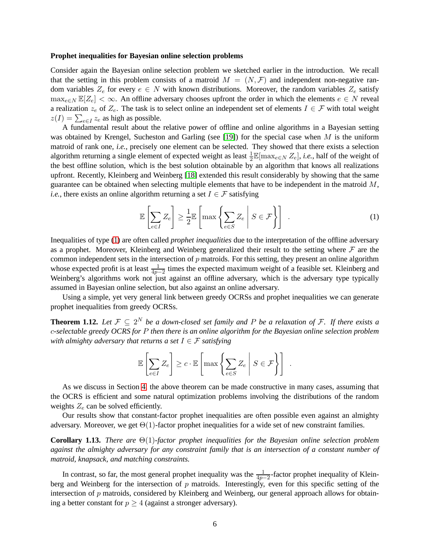#### **Prophet inequalities for Bayesian online selection problems**

Consider again the Bayesian online selection problem we sketched earlier in the introduction. We recall that the setting in this problem consists of a matroid  $M = (N, \mathcal{F})$  and independent non-negative random variables  $Z_e$  for every  $e \in N$  with known distributions. Moreover, the random variables  $Z_e$  satisfy  $\max_{e \in N} \mathbb{E}[Z_e] < \infty$ . An offline adversary chooses upfront the order in which the elements  $e \in N$  reveal a realization  $z_e$  of  $Z_e$ . The task is to select online an independent set of elements  $I \in \mathcal{F}$  with total weight  $z(I) = \sum_{e \in I} z_e$  as high as possible.

A fundamental result about the relative power of offline and online algorithms in a Bayesian setting was obtained by Krengel, Sucheston and Garling (see [\[19\]](#page-31-6)) for the special case when  $M$  is the uniform matroid of rank one, *i.e.*, precisely one element can be selected. They showed that there exists a selection algorithm returning a single element of expected weight as least  $\frac{1}{2} \mathbb{E}[\max_{e \in N} Z_e]$ , *i.e.*, half of the weight of the best offline solution, which is the best solution obtainable by an algorithm that knows all realizations upfront. Recently, Kleinberg and Weinberg [\[18\]](#page-31-1) extended this result considerably by showing that the same guarantee can be obtained when selecting multiple elements that have to be independent in the matroid  $M$ , *i.e.*, there exists an online algorithm returning a set  $I \in \mathcal{F}$  satisfying

<span id="page-6-0"></span>
$$
\mathbb{E}\left[\sum_{e\in I} Z_e\right] \ge \frac{1}{2} \mathbb{E}\left[\max\left\{\sum_{e\in S} Z_e \middle| S \in \mathcal{F}\right\}\right] \tag{1}
$$

Inequalities of type [\(1\)](#page-6-0) are often called *prophet inequalities* due to the interpretation of the offline adversary as a prophet. Moreover, Kleinberg and Weinberg generalized their result to the setting where  $\mathcal F$  are the common independent sets in the intersection of  $p$  matroids. For this setting, they present an online algorithm whose expected profit is at least  $\frac{1}{4p-2}$  times the expected maximum weight of a feasible set. Kleinberg and Weinberg's algorithms work not just against an offline adversary, which is the adversary type typically assumed in Bayesian online selection, but also against an online adversary.

Using a simple, yet very general link between greedy OCRSs and prophet inequalities we can generate prophet inequalities from greedy OCRSs.

<span id="page-6-1"></span>**Theorem 1.12.** Let  $\mathcal{F} \subseteq 2^N$  be a down-closed set family and P be a relaxation of F. If there exists a c*-selectable greedy OCRS for* P *then there is an online algorithm for the Bayesian online selection problem with almighty adversary that returns a set*  $I \in \mathcal{F}$  *satisfying* 

$$
\mathbb{E}\left[\sum_{e \in I} Z_e\right] \ge c \cdot \mathbb{E}\left[\max\left\{\sum_{e \in S} Z_e \middle| S \in \mathcal{F}\right\}\right].
$$

As we discuss in Section [4,](#page-22-0) the above theorem can be made constructive in many cases, assuming that the OCRS is efficient and some natural optimization problems involving the distributions of the random weights  $Z_e$  can be solved efficiently.

Our results show that constant-factor prophet inequalities are often possible even against an almighty adversary. Moreover, we get  $\Theta(1)$ -factor prophet inequalities for a wide set of new constraint families.

**Corollary 1.13.** *There are* Θ(1)*-factor prophet inequalities for the Bayesian online selection problem against the almighty adversary for any constraint family that is an intersection of a constant number of matroid, knapsack, and matching constraints.*

In contrast, so far, the most general prophet inequality was the  $\frac{1}{4p-2}$ -factor prophet inequality of Kleinberg and Weinberg for the intersection of p matroids. Interestingly, even for this specific setting of the intersection of p matroids, considered by Kleinberg and Weinberg, our general approach allows for obtaining a better constant for  $p \geq 4$  (against a stronger adversary).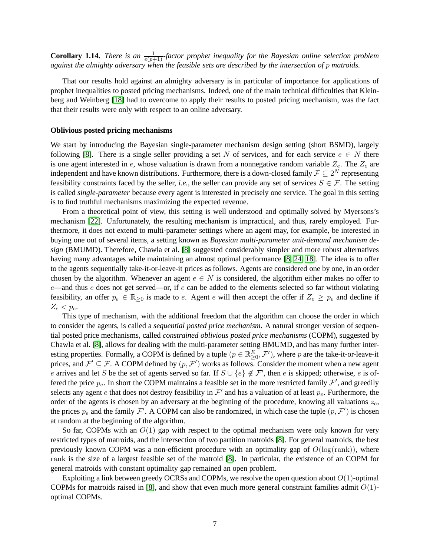**Corollary 1.14.** *There is an*  $\frac{1}{e(p+1)}$ *-factor prophet inequality for the Bayesian online selection problem against the almighty adversary when the feasible sets are described by the intersection of* p *matroids.*

That our results hold against an almighty adversary is in particular of importance for applications of prophet inequalities to posted pricing mechanisms. Indeed, one of the main technical difficulties that Kleinberg and Weinberg [\[18\]](#page-31-1) had to overcome to apply their results to posted pricing mechanism, was the fact that their results were only with respect to an online adversary.

#### **Oblivious posted pricing mechanisms**

We start by introducing the Bayesian single-parameter mechanism design setting (short BSMD), largely following [\[8\]](#page-30-0). There is a single seller providing a set N of services, and for each service  $e \in N$  there is one agent interested in  $e$ , whose valuation is drawn from a nonnegative random variable  $Z_e$ . The  $Z_e$  are independent and have known distributions. Furthermore, there is a down-closed family  $\mathcal{F} \subseteq 2^N$  representing feasibility constraints faced by the seller, *i.e.*, the seller can provide any set of services  $S \in \mathcal{F}$ . The setting is called *single-parameter* because every agent is interested in precisely one service. The goal in this setting is to find truthful mechanisms maximizing the expected revenue.

From a theoretical point of view, this setting is well understood and optimally solved by Myersons's mechanism [\[22\]](#page-31-7). Unfortunately, the resulting mechanism is impractical, and thus, rarely employed. Furthermore, it does not extend to multi-parameter settings where an agent may, for example, be interested in buying one out of several items, a setting known as *Bayesian multi-parameter unit-demand mechanism design* (BMUMD). Therefore, Chawla et al. [\[8\]](#page-30-0) suggested considerably simpler and more robust alternatives having many advantages while maintaining an almost optimal performance [\[8,](#page-30-0) [24,](#page-31-0) [18\]](#page-31-1). The idea is to offer to the agents sequentially take-it-or-leave-it prices as follows. Agents are considered one by one, in an order chosen by the algorithm. Whenever an agent  $e \in N$  is considered, the algorithm either makes no offer to  $e$ —and thus e does not get served—or, if e can be added to the elements selected so far without violating feasibility, an offer  $p_e \in \mathbb{R}_{\geq 0}$  is made to e. Agent e will then accept the offer if  $Z_e \geq p_e$  and decline if  $Z_e$  <  $p_e$ .

This type of mechanism, with the additional freedom that the algorithm can choose the order in which to consider the agents, is called a *sequential posted price mechanism*. A natural stronger version of sequential posted price mechanisms, called *constrained oblivious posted price mechanisms* (COPM), suggested by Chawla et al. [\[8\]](#page-30-0), allows for dealing with the multi-parameter setting BMUMD, and has many further interesting properties. Formally, a COPM is defined by a tuple  $(p \in \mathbb{R}^E_{\geq 0}, \mathcal{F}')$ , where p are the take-it-or-leave-it prices, and  $\mathcal{F}' \subseteq \mathcal{F}$ . A COPM defined by  $(p, \mathcal{F}')$  works as follows. Consider the moment when a new agent e arrives and let S be the set of agents served so far. If  $S \cup \{e\} \notin \mathcal{F}'$ , then e is skipped; otherwise, e is offered the price  $p_e$ . In short the COPM maintains a feasible set in the more restricted family  $\mathcal{F}'$ , and greedily selects any agent e that does not destroy feasibility in  $\mathcal{F}'$  and has a valuation of at least  $p_e$ . Furthermore, the order of the agents is chosen by an adversary at the beginning of the procedure, knowing all valuations  $z_e$ , the prices  $p_e$  and the family  $\mathcal{F}'$ . A COPM can also be randomized, in which case the tuple  $(p, \mathcal{F}')$  is chosen at random at the beginning of the algorithm.

So far, COPMs with an  $O(1)$  gap with respect to the optimal mechanism were only known for very restricted types of matroids, and the intersection of two partition matroids [\[8\]](#page-30-0). For general matroids, the best previously known COPM was a non-efficient procedure with an optimality gap of  $O(log(rank))$ , where rank is the size of a largest feasible set of the matroid [\[8\]](#page-30-0). In particular, the existence of an COPM for general matroids with constant optimality gap remained an open problem.

Exploiting a link between greedy OCRSs and COPMs, we resolve the open question about  $O(1)$ -optimal COPMs for matroids raised in [\[8\]](#page-30-0), and show that even much more general constraint families admit  $O(1)$ optimal COPMs.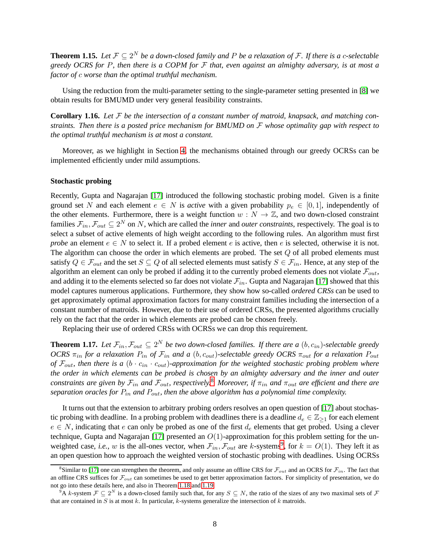<span id="page-8-3"></span>**Theorem 1.15.** Let  $\mathcal{F} \subseteq 2^N$  be a down-closed family and P be a relaxation of F. If there is a c-selectable *greedy OCRS for* P*, then there is a COPM for* F *that, even against an almighty adversary, is at most a factor of* c *worse than the optimal truthful mechanism.*

Using the reduction from the multi-parameter setting to the single-parameter setting presented in [\[8\]](#page-30-0) we obtain results for BMUMD under very general feasibility constraints.

**Corollary 1.16.** *Let* F *be the intersection of a constant number of matroid, knapsack, and matching constraints. Then there is a posted price mechanism for BMUMD on* F *whose optimality gap with respect to the optimal truthful mechanism is at most a constant.*

Moreover, as we highlight in Section [4,](#page-22-0) the mechanisms obtained through our greedy OCRSs can be implemented efficiently under mild assumptions.

#### **Stochastic probing**

Recently, Gupta and Nagarajan [\[17\]](#page-31-2) introduced the following stochastic probing model. Given is a finite ground set N and each element  $e \in N$  is *active* with a given probability  $p_e \in [0,1]$ , independently of the other elements. Furthermore, there is a weight function  $w : N \to \mathbb{Z}$ , and two down-closed constraint families  $\mathcal{F}_{in}, \mathcal{F}_{out} \subseteq 2^N$  on N, which are called the *inner* and *outer constraints*, respectively. The goal is to select a subset of active elements of high weight according to the following rules. An algorithm must first *probe* an element  $e \in N$  to select it. If a probed element e is active, then e is selected, otherwise it is not. The algorithm can choose the order in which elements are probed. The set  $Q$  of all probed elements must satisfy  $Q \in \mathcal{F}_{out}$  and the set  $S \subseteq Q$  of all selected elements must satisfy  $S \in \mathcal{F}_{in}$ . Hence, at any step of the algorithm an element can only be probed if adding it to the currently probed elements does not violate  $\mathcal{F}_{out}$ , and adding it to the elements selected so far does not violate  $\mathcal{F}_{in}$ . Gupta and Nagarajan [\[17\]](#page-31-2) showed that this model captures numerous applications. Furthermore, they show how so-called *ordered CRSs* can be used to get approximately optimal approximation factors for many constraint families including the intersection of a constant number of matroids. However, due to their use of ordered CRSs, the presented algorithms crucially rely on the fact that the order in which elements are probed can be chosen freely.

Replacing their use of ordered CRSs with OCRSs we can drop this requirement.

<span id="page-8-2"></span>**Theorem 1.17.** Let  $\mathcal{F}_{in}, \mathcal{F}_{out} \subseteq 2^N$  be two down-closed families. If there are a  $(b, c_{in})$ -selectable greedy *OCRS*  $\pi_{in}$  *for a relaxation*  $P_{in}$  *of*  $\mathcal{F}_{in}$  *and a* (*b, c<sub>out</sub>*)-selectable greedy *OCRS*  $\pi_{out}$  *for a relaxation*  $P_{out}$ *of*  $\mathcal{F}_{out}$ , then there is a (b  $\cdot$  c<sub>in</sub>  $\cdot$  c<sub>out</sub>)-approximation for the weighted stochastic probing problem where *the order in which elements can be probed is chosen by an almighty adversary and the inner and outer constraints are given by*  $\mathcal{F}_{in}$  *and*  $\mathcal{F}_{out}$ *, respectively.*<sup>[8](#page-8-0)</sup> *Moreover, if*  $\pi_{in}$  *and*  $\pi_{out}$  *are efficient and there are separation oracles for* Pin *and* Pout*, then the above algorithm has a polynomial time complexity.*

It turns out that the extension to arbitrary probing orders resolves an open question of [\[17\]](#page-31-2) about stochastic probing with deadline. In a probing problem with deadlines there is a deadline  $d_e \in \mathbb{Z}_{\geq 1}$  for each element  $e \in N$ , indicating that e can only be probed as one of the first  $d_e$  elements that get probed. Using a clever technique, Gupta and Nagarajan [\[17\]](#page-31-2) presented an  $O(1)$ -approximation for this problem setting for the unweighted case, *i.e.*, w is the all-ones vector, when  $\mathcal{F}_{in}$ ,  $\mathcal{F}_{out}$  are k-systems<sup>[9](#page-8-1)</sup>, for  $k = O(1)$ . They left it as an open question how to approach the weighted version of stochastic probing with deadlines. Using OCRSs

<span id="page-8-0"></span><sup>&</sup>lt;sup>8</sup>Similar to [\[17\]](#page-31-2) one can strengthen the theorem, and only assume an offline CRS for  $\mathcal{F}_{out}$  and an OCRS for  $\mathcal{F}_{in}$ . The fact that an offline CRS suffices for  $\mathcal{F}_{out}$  can sometimes be used to get better approximation factors. For simplicity of presentation, we do not go into these details here, and also in Theorem [1.18](#page-9-0) and [1.19.](#page-9-1)

<span id="page-8-1"></span> $9A$  k-system  $\mathcal{F} \subseteq 2^N$  is a down-closed family such that, for any  $S \subseteq N$ , the ratio of the sizes of any two maximal sets of  $\mathcal{F}$ that are contained in  $S$  is at most  $k$ . In particular,  $k$ -systems generalize the intersection of  $k$  matroids.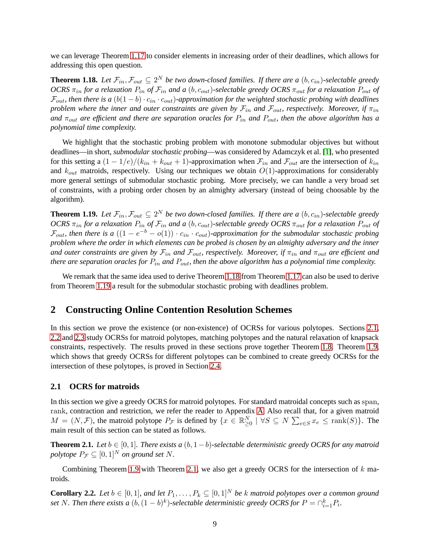we can leverage Theorem [1.17](#page-8-2) to consider elements in increasing order of their deadlines, which allows for addressing this open question.

<span id="page-9-0"></span>**Theorem 1.18.** Let  $\mathcal{F}_{in}, \mathcal{F}_{out} \subseteq 2^N$  be two down-closed families. If there are a  $(b, c_{in})$ -selectable greedy  $OCRS \pi_{in}$  *for a relaxation*  $P_{in}$  *of*  $\mathcal{F}_{in}$  *and a* (*b*,  $c_{out}$ )-selectable greedy  $OCRS \pi_{out}$  *for a relaxation*  $P_{out}$  *of*  $\mathcal{F}_{out}$ , then there is a  $(b(1-b) \cdot c_{in} \cdot c_{out})$ -approximation for the weighted stochastic probing with deadlines *problem where the inner and outer constraints are given by*  $\mathcal{F}_{in}$  *and*  $\mathcal{F}_{out}$ *, respectively. Moreover, if*  $\pi_{in}$ *and* πout *are efficient and there are separation oracles for* Pin *and* Pout*, then the above algorithm has a polynomial time complexity.*

We highlight that the stochastic probing problem with monotone submodular objectives but without deadlines—in short, *submodular stochastic probing*—was considered by Adamczyk et al. [\[1\]](#page-30-1), who presented for this setting a  $(1 - 1/e)/(k_{in} + k_{out} + 1)$ -approximation when  $\mathcal{F}_{in}$  and  $\mathcal{F}_{out}$  are the intersection of  $k_{in}$ and  $k_{out}$  matroids, respectively. Using our techniques we obtain  $O(1)$ -approximations for considerably more general settings of submodular stochastic probing. More precisely, we can handle a very broad set of constraints, with a probing order chosen by an almighty adversary (instead of being choosable by the algorithm).

<span id="page-9-1"></span>**Theorem 1.19.** Let  $\mathcal{F}_{in}, \mathcal{F}_{out} \subseteq 2^N$  be two down-closed families. If there are a  $(b, c_{in})$ -selectable greedy  $OCRS \pi_{in}$  *for a relaxation*  $P_{in}$  *of*  $\mathcal{F}_{in}$  *and a* (*b, c<sub>out</sub>*)-selectable greedy *OCRS*  $\pi_{out}$  *for a relaxation*  $P_{out}$  *of*  $\mathcal{F}_{out}$ , then there is a  $((1-e^{-b}-o(1)) \cdot c_{in} \cdot c_{out})$ -approximation for the submodular stochastic probing *problem where the order in which elements can be probed is chosen by an almighty adversary and the inner and outer constraints are given by*  $\mathcal{F}_{in}$  *and*  $\mathcal{F}_{out}$ *, respectively. Moreover, if*  $\pi_{in}$  *and*  $\pi_{out}$  *are efficient and there are separation oracles for*  $P_{in}$  *and*  $P_{out}$ *, then the above algorithm has a polynomial time complexity.* 

We remark that the same idea used to derive Theorem [1.18](#page-9-0) from Theorem [1.17](#page-8-2) can also be used to derive from Theorem [1.19](#page-9-1) a result for the submodular stochastic probing with deadlines problem.

# **2 Constructing Online Contention Resolution Schemes**

In this section we prove the existence (or non-existence) of OCRSs for various polytopes. Sections [2.1,](#page-9-2) [2.2](#page-13-0) and [2.3](#page-14-0) study OCRSs for matroid polytopes, matching polytopes and the natural relaxation of knapsack constraints, respectively. The results proved in these sections prove together Theorem [1.8.](#page-4-1) Theorem [1.9,](#page-4-3) which shows that greedy OCRSs for different polytopes can be combined to create greedy OCRSs for the intersection of these polytopes, is proved in Section [2.4.](#page-15-0)

### <span id="page-9-2"></span>**2.1 OCRS for matroids**

In this section we give a greedy OCRS for matroid polytopes. For standard matroidal concepts such as span, rank, contraction and restriction, we refer the reader to Appendix [A.](#page-31-8) Also recall that, for a given matroid  $M = (N, \mathcal{F})$ , the matroid polytope  $P_{\mathcal{F}}$  is defined by  $\{x \in \mathbb{R}_{\geq 0}^N \mid \forall S \subseteq N \sum_{e \in S} x_e \leq \text{rank}(S)\}\)$ . The main result of this section can be stated as follows.

<span id="page-9-3"></span>**Theorem 2.1.** *Let*  $b \in [0, 1]$ *. There exists a*  $(b, 1 - b)$ *-selectable deterministic greedy OCRS for any matroid polytope*  $P_{\mathcal{F}} \subseteq [0,1]^N$  *on ground set* N.

Combining Theorem [1.9](#page-4-3) with Theorem [2.1,](#page-9-3) we also get a greedy OCRS for the intersection of  $k$  matroids.

<span id="page-9-4"></span>**Corollary 2.2.** *Let*  $b \in [0, 1]$ *, and let*  $P_1, \ldots, P_k \subseteq [0, 1]^N$  *be* k matroid polytopes over a common ground set N. Then there exists a  $(b, (1 - b)^k)$ -selectable deterministic greedy OCRS for  $P = \bigcap_{i=1}^k P_i$ .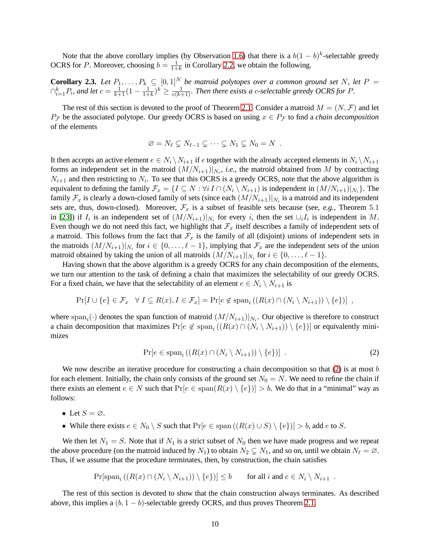Note that the above corollary implies (by Observation [1.6\)](#page-4-4) that there is a  $b(1-b)^k$ -selectable greedy OCRS for P. Moreover, choosing  $b = \frac{1}{1+b}$  $\frac{1}{1+k}$  in Corollary [2.2,](#page-9-4) we obtain the following.

**Corollary 2.3.** Let  $P_1, \ldots, P_k \subseteq [0,1]^N$  be matroid polytopes over a common ground set N, let  $P =$  $\bigcap_{i=1}^k P_i$ , and let  $c = \frac{1}{k+1} (1 - \frac{1}{1+k})^k \ge \frac{1}{e(k+1)}$ . Then there exists a c-selectable greedy OCRS for P.

The rest of this section is devoted to the proof of Theorem [2.1.](#page-9-3) Consider a matroid  $M = (N, \mathcal{F})$  and let  $P_{\mathcal{F}}$  be the associated polytope. Our greedy OCRS is based on using  $x \in P_{\mathcal{F}}$  to find a *chain decomposition* of the elements

$$
\varnothing = N_{\ell} \subsetneq N_{\ell-1} \subsetneq \cdots \subsetneq N_1 \subsetneq N_0 = N .
$$

It then accepts an active element  $e \in N_i \setminus N_{i+1}$  if e together with the already accepted elements in  $N_i \setminus N_{i+1}$ forms an independent set in the matroid  $(M/N_{i+1})|_{N_i}$ , *i.e.*, the matroid obtained from M by contracting  $N_{i+1}$  and then restricting to  $N_i$ . To see that this OCRS is a greedy OCRS, note that the above algorithm is equivalent to defining the family  $\mathcal{F}_x = \{I \subseteq N : \forall i \, I \cap (N_i \setminus N_{i+1})$  is independent in  $(M/N_{i+1})|_{N_i}\}$ . The family  $\mathcal{F}_x$  is clearly a down-closed family of sets (since each  $(M/N_{i+1})|_{N_i}$  is a matroid and its independent sets are, thus, down-closed). Moreover,  $\mathcal{F}_x$  is a subset of feasible sets because (see, *e.g.*, Theorem 5.1 in [\[23\]](#page-31-9)) if  $I_i$  is an independent set of  $(M/N_{i+1})|_{N_i}$  for every i, then the set  $\cup_i I_i$  is independent in M. Even though we do not need this fact, we highlight that  $\mathcal{F}_x$  itself describes a family of independent sets of a matroid. This follows from the fact that  $\mathcal{F}_x$  is the family of all (disjoint) unions of independent sets in the matroids  $(M/N_{i+1})|_{N_i}$  for  $i \in \{0, \ldots, \ell-1\}$ , implying that  $\mathcal{F}_x$  are the independent sets of the union matroid obtained by taking the union of all matroids  $(M/N_{i+1})|_{N_i}$  for  $i \in \{0, \ldots, \ell-1\}$ .

Having shown that the above algorithm is a greedy OCRS for any chain decomposition of the elements, we turn our attention to the task of defining a chain that maximizes the selectability of our greedy OCRS. For a fixed chain, we have that the selectability of an element  $e \in N_i \setminus N_{i+1}$  is

$$
\Pr[I \cup \{e\} \in \mathcal{F}_x \quad \forall I \subseteq R(x), I \in \mathcal{F}_x] = \Pr[e \notin \text{span}_i((R(x) \cap (N_i \setminus N_{i+1})) \setminus \{e\})],
$$

where span<sub>i</sub>( $\cdot$ ) denotes the span function of matroid  $(M/N_{i+1})|_{N_i}$ . Our objective is therefore to construct a chain decomposition that maximizes  $Pr[e \notin span_i ((R(x) \cap (N_i \setminus N_{i+1})) \setminus \{e\})]$  or equivalently minimizes

<span id="page-10-0"></span>
$$
\Pr[e \in \text{span}_i\left(\left(R(x)\cap (N_i\setminus N_{i+1})\right)\setminus \{e\}\right)]\tag{2}
$$

We now describe an iterative procedure for constructing a chain decomposition so that  $(2)$  is at most b for each element. Initially, the chain only consists of the ground set  $N_0 = N$ . We need to refine the chain if there exists an element  $e \in N$  such that  $Pr[e \in span(R(x) \setminus \{e\})] > b$ . We do that in a "minimal" way as follows:

- Let  $S = \emptyset$ .
- While there exists  $e \in N_0 \setminus S$  such that  $Pr[e \in span((R(x) \cup S) \setminus \{e\})] > b$ , add e to S.

We then let  $N_1 = S$ . Note that if  $N_1$  is a strict subset of  $N_0$  then we have made progress and we repeat the above procedure (on the matroid induced by  $N_1$ ) to obtain  $N_2 \subsetneq N_1$ , and so on, until we obtain  $N_\ell = \emptyset$ . Thus, if we assume that the procedure terminates, then, by construction, the chain satisfies

$$
\Pr[\mathrm{span}_i\left((R(x)\cap (N_i\setminus N_{i+1}))\setminus\{e\}\right)]\leq b\qquad\text{for all }i\text{ and }e\in N_i\setminus N_{i+1}\ .
$$

The rest of this section is devoted to show that the chain construction always terminates. As described above, this implies a  $(b, 1 - b)$ -selectable greedy OCRS, and thus proves Theorem [2.1.](#page-9-3)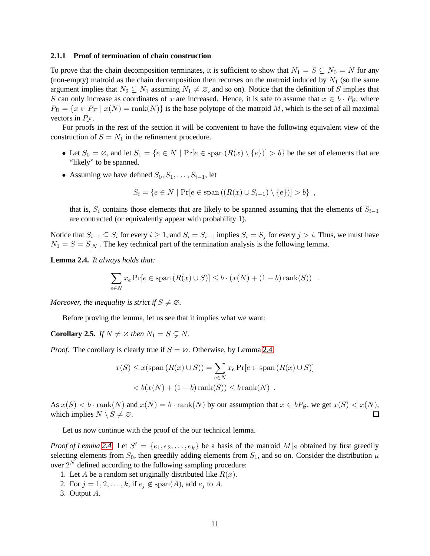#### **2.1.1 Proof of termination of chain construction**

To prove that the chain decomposition terminates, it is sufficient to show that  $N_1 = S \subsetneq N_0 = N$  for any (non-empty) matroid as the chain decomposition then recurses on the matroid induced by  $N_1$  (so the same argument implies that  $N_2 \subsetneq N_1$  assuming  $N_1 \neq \emptyset$ , and so on). Notice that the definition of S implies that S can only increase as coordinates of x are increased. Hence, it is safe to assume that  $x \in b \cdot P_B$ , where  $P_{\mathcal{B}} = \{x \in P_{\mathcal{F}} \mid x(N) = \text{rank}(N)\}\$ is the base polytope of the matroid M, which is the set of all maximal vectors in  $P_{\mathcal{F}}$ .

For proofs in the rest of the section it will be convenient to have the following equivalent view of the construction of  $S = N_1$  in the refinement procedure.

- Let  $S_0 = \emptyset$ , and let  $S_1 = \{e \in N \mid \Pr[e \in \text{span}(R(x) \setminus \{e\})] > b\}$  be the set of elements that are "likely" to be spanned.
- Assuming we have defined  $S_0, S_1, \ldots, S_{i-1}$ , let

$$
S_i = \{ e \in N \mid \Pr[e \in \text{span}((R(x) \cup S_{i-1}) \setminus \{e\})] > b \},
$$

that is,  $S_i$  contains those elements that are likely to be spanned assuming that the elements of  $S_{i-1}$ are contracted (or equivalently appear with probability 1).

Notice that  $S_{i-1} \subseteq S_i$  for every  $i \geq 1$ , and  $S_i = S_{i-1}$  implies  $S_i = S_j$  for every  $j > i$ . Thus, we must have  $N_1 = S = S_{|N|}$ . The key technical part of the termination analysis is the following lemma.

<span id="page-11-0"></span>**Lemma 2.4.** *It always holds that:*

$$
\sum_{e \in N} x_e \Pr[e \in \text{span}(R(x) \cup S)] \le b \cdot (x(N) + (1 - b)\text{rank}(S)) .
$$

*Moreover, the inequality is strict if*  $S \neq \emptyset$ *.* 

Before proving the lemma, let us see that it implies what we want:

**Corollary 2.5.** *If*  $N \neq \emptyset$  *then*  $N_1 = S \subseteq N$ *.* 

*Proof.* The corollary is clearly true if  $S = \emptyset$ . Otherwise, by Lemma [2.4,](#page-11-0)

$$
x(S) \le x(\text{span}(R(x) \cup S)) = \sum_{e \in N} x_e \Pr[e \in \text{span}(R(x) \cup S)]
$$
  

$$
< b(x(N) + (1 - b)\text{rank}(S)) \le b \text{rank}(N) .
$$

As  $x(S) < b \cdot \text{rank}(N)$  and  $x(N) = b \cdot \text{rank}(N)$  by our assumption that  $x \in bP_B$ , we get  $x(S) < x(N)$ , which implies  $N \setminus S \neq \emptyset$ .  $\Box$ 

Let us now continue with the proof of the our technical lemma.

*Proof of Lemma* [2.4.](#page-11-0) Let  $S' = \{e_1, e_2, \ldots, e_k\}$  be a basis of the matroid  $M|_S$  obtained by first greedily selecting elements from  $S_0$ , then greedily adding elements from  $S_1$ , and so on. Consider the distribution  $\mu$ over  $2^N$  defined according to the following sampling procedure:

- 1. Let A be a random set originally distributed like  $R(x)$ .
- 2. For  $j = 1, 2, \ldots, k$ , if  $e_j \notin \text{span}(A)$ , add  $e_j$  to A.
- 3. Output A.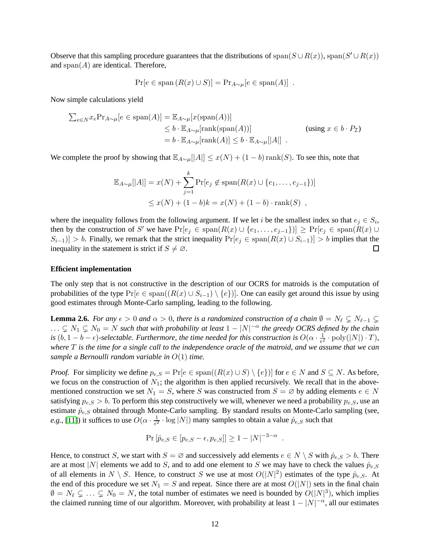Observe that this sampling procedure guarantees that the distributions of span( $S \cup R(x)$ ), span( $S' \cup R(x)$ ) and  $\text{span}(A)$  are identical. Therefore,

$$
Pr[e \in span(R(x) \cup S)] = Pr_{A \sim \mu}[e \in span(A)] .
$$

Now simple calculations yield

$$
\sum_{e \in N} x_e \Pr_{A \sim \mu}[e \in \text{span}(A)] = \mathbb{E}_{A \sim \mu}[x(\text{span}(A))]
$$
  
\n
$$
\leq b \cdot \mathbb{E}_{A \sim \mu}[\text{rank}(\text{span}(A))]
$$
 (using  $x \in b \cdot P_{\mathcal{I}}$ )  
\n
$$
= b \cdot \mathbb{E}_{A \sim \mu}[\text{rank}(A)] \leq b \cdot \mathbb{E}_{A \sim \mu}[|A|]
$$

We complete the proof by showing that  $\mathbb{E}_{A\sim\mu}[A] \leq x(N) + (1-b)\text{rank}(S)$ . To see this, note that

$$
\mathbb{E}_{A \sim \mu}[|A|] = x(N) + \sum_{j=1}^{k} \Pr[e_j \notin \text{span}(R(x) \cup \{e_1, \dots, e_{j-1}\})]
$$
  
 
$$
\leq x(N) + (1 - b)k = x(N) + (1 - b) \cdot \text{rank}(S) ,
$$

where the inequality follows from the following argument. If we let i be the smallest index so that  $e_j \in S_i$ , then by the construction of S' we have  $Pr[e_j \in span(R(x) \cup \{e_1, \ldots, e_{j-1}\})] \geq Pr[e_j \in span(R(x) \cup$  $S_{i-1}$ ] > b. Finally, we remark that the strict inequality  $Pr[e_i \in span(R(x) \cup S_{i-1})] > b$  implies that the inequality in the statement is strict if  $S \neq \emptyset$ .  $\Box$ 

#### **Efficient implementation**

The only step that is not constructive in the description of our OCRS for matroids is the computation of probabilities of the type  $Pr[e \in span((R(x) \cup S_{i-1}) \setminus \{e\})]$ . One can easily get around this issue by using good estimates through Monte-Carlo sampling, leading to the following.

**Lemma 2.6.** *For any*  $\epsilon > 0$  *and*  $\alpha > 0$ *, there is a randomized construction of a chain*  $\emptyset = N_{\ell} \subsetneq N_{\ell-1} \subsetneq$  $\ldots \subsetneq N_1 \subsetneq N_0 = N$  such that with probability at least  $1 - |N|^{-\alpha}$  the greedy OCRS defined by the chain *is*  $(b, 1 - b - \epsilon)$ -selectable. Furthermore, the time needed for this construction is  $O(\alpha \cdot \frac{1}{\epsilon^2})$  $\frac{1}{e^2} \cdot \text{poly}(|N|) \cdot T$ ), *where* T *is the time for a single call to the independence oracle of the matroid, and we assume that we can sample a Bernoulli random variable in* O(1) *time.*

*Proof.* For simplicity we define  $p_{e,S} = \Pr[e \in \text{span}((R(x) \cup S) \setminus \{e\})]$  for  $e \in N$  and  $S \subseteq N$ . As before, we focus on the construction of  $N_1$ ; the algorithm is then applied recursively. We recall that in the abovementioned construction we set  $N_1 = S$ , where S was constructed from  $S = \emptyset$  by adding elements  $e \in N$ satisfying  $p_{e,S} > b$ . To perform this step constructively we will, whenever we need a probability  $p_{e,S}$ , use an estimate  $\hat{p}_{e,S}$  obtained through Monte-Carlo sampling. By standard results on Monte-Carlo sampling (see, *e.g.*, [\[11\]](#page-30-9)) it suffices to use  $O(\alpha \cdot \frac{1}{\epsilon^2})$  $\frac{1}{\epsilon^2} \cdot \log |N|$  many samples to obtain a value  $\hat{p}_{e,S}$  such that

$$
\Pr[\hat{p}_{e,S} \in [p_{e,S} - \epsilon, p_{e,S}]] \ge 1 - |N|^{-3 - \alpha}.
$$

Hence, to construct S, we start with  $S = \emptyset$  and successively add elements  $e \in N \setminus S$  with  $\hat{p}_{e,S} > b$ . There are at most |N| elements we add to S, and to add one element to S we may have to check the values  $\hat{p}_{e,S}$ of all elements in  $N \setminus S$ . Hence, to construct S we use at most  $O(|N|^2)$  estimates of the type  $\hat{p}_{e,S}$ . At the end of this procedure we set  $N_1 = S$  and repeat. Since there are at most  $O(|N|)$  sets in the final chain  $\emptyset = N_{\ell} \subsetneq \ldots \subsetneq N_0 = N$ , the total number of estimates we need is bounded by  $O(|N|^3)$ , which implies the claimed running time of our algorithm. Moreover, with probability at least  $1 - |N|^{-\alpha}$ , all our estimates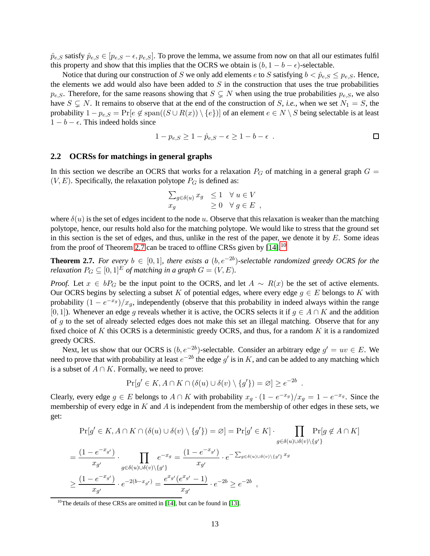$\hat{p}_{e,S}$  satisfy  $\hat{p}_{e,S} \in [p_{e,S} - \epsilon, p_{e,S}]$ . To prove the lemma, we assume from now on that all our estimates fulfil this property and show that this implies that the OCRS we obtain is  $(b, 1 - b - \epsilon)$ -selectable.

Notice that during our construction of S we only add elements e to S satisfying  $b < \hat{p}_{e,S} \leq p_{e,S}$ . Hence, the elements we add would also have been added to  $S$  in the construction that uses the true probabilities  $p_{e,S}$ . Therefore, for the same reasons showing that  $S \subseteq N$  when using the true probabilities  $p_{e,S}$ , we also have  $S \subseteq N$ . It remains to observe that at the end of the construction of S, *i.e.*, when we set  $N_1 = S$ , the probability  $1 - p_{e,S} = Pr[e \notin span((S \cup R(x)) \setminus \{e\})]$  of an element  $e \in N \setminus S$  being selectable is at least  $1 - b - \epsilon$ . This indeed holds since

$$
1 - p_{e,S} \ge 1 - \hat{p}_{e,S} - \epsilon \ge 1 - b - \epsilon .
$$

#### <span id="page-13-0"></span>**2.2 OCRSs for matchings in general graphs**

In this section we describe an OCRS that works for a relaxation  $P_G$  of matching in a general graph  $G =$  $(V, E)$ . Specifically, the relaxation polytope  $P_G$  is defined as:

$$
\sum_{g \in \delta(u)} x_g \leq 1 \quad \forall u \in V
$$
  

$$
x_g \geq 0 \quad \forall g \in E ,
$$

where  $\delta(u)$  is the set of edges incident to the node u. Observe that this relaxation is weaker than the matching polytope, hence, our results hold also for the matching polytope. We would like to stress that the ground set in this section is the set of edges, and thus, unlike in the rest of the paper, we denote it by  $E$ . Some ideas from the proof of Theorem [2.7](#page-13-1) can be traced to offline CRSs given by  $[14]$ .<sup>[10](#page-13-2)</sup>

<span id="page-13-1"></span>**Theorem 2.7.** *For every*  $b \in [0,1]$ *, there exists a*  $(b, e^{-2b})$ -selectable randomized greedy OCRS for the *relaxation*  $P_G \subseteq [0, 1]^E$  *of matching in a graph*  $G = (V, E)$ *.* 

*Proof.* Let  $x \in bP_G$  be the input point to the OCRS, and let  $A \sim R(x)$  be the set of active elements. Our OCRS begins by selecting a subset K of potential edges, where every edge  $g \in E$  belongs to K with probability  $(1 - e^{-x_g})/x_g$ , independently (observe that this probability in indeed always within the range [0, 1]). Whenever an edge g reveals whether it is active, the OCRS selects it if  $g \in A \cap K$  and the addition of q to the set of already selected edges does not make this set an illegal matching. Observe that for any fixed choice of K this OCRS is a deterministic greedy OCRS, and thus, for a random K it is a randomized greedy OCRS.

Next, let us show that our OCRS is  $(b, e^{-2b})$ -selectable. Consider an arbitrary edge  $g' = uv \in E$ . We need to prove that with probability at least  $e^{-2b}$  the edge  $g'$  is in K, and can be added to any matching which is a subset of  $A \cap K$ . Formally, we need to prove:

$$
Pr[g' \in K, A \cap K \cap (\delta(u) \cup \delta(v) \setminus \{g'\}) = \varnothing] \ge e^{-2b}.
$$

Clearly, every edge  $g \in E$  belongs to  $A \cap K$  with probability  $x_g \cdot (1 - e^{-x_g})/x_g = 1 - e^{-x_g}$ . Since the membership of every edge in  $K$  and  $\overline{A}$  is independent from the membership of other edges in these sets, we get:

$$
\Pr[g' \in K, A \cap K \cap (\delta(u) \cup \delta(v) \setminus \{g'\}) = \varnothing] = \Pr[g' \in K] \cdot \prod_{g \in \delta(u) \cup \delta(v) \setminus \{g'\}} \Pr[g \notin A \cap K]
$$

$$
= \frac{(1 - e^{-x_{g'}})}{x_{g'}} \cdot \prod_{g \in \delta(u) \cup \delta(v) \setminus \{g'\}} e^{-x_g} = \frac{(1 - e^{-x_{g'}})}{x_{g'}} \cdot e^{-\sum_{g \in \delta(u) \cup \delta(v) \setminus \{g'\}} x_g}
$$

$$
\geq \frac{(1 - e^{-x_{g'}})}{x_{g'}} \cdot e^{-2(b - x_{g'})} = \frac{e^{x_{g'}}(e^{x_{g'}} - 1)}{x_{g'}} \cdot e^{-2b} \geq e^{-2b} ,
$$

<span id="page-13-2"></span><sup>10</sup>The details of these CRSs are omitted in [\[14\]](#page-30-8), but can be found in [\[13\]](#page-30-10).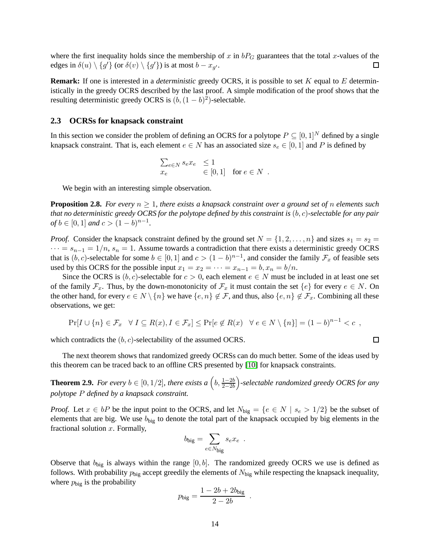where the first inequality holds since the membership of x in  $bP_G$  guarantees that the total x-values of the edges in  $\delta(u) \setminus \{g'\}$  (or  $\delta(v) \setminus \{g'\}$ ) is at most  $b - x_{g'}$ .  $\Box$ 

**Remark:** If one is interested in a *deterministic* greedy OCRS, it is possible to set K equal to E deterministically in the greedy OCRS described by the last proof. A simple modification of the proof shows that the resulting deterministic greedy OCRS is  $(b, (1 - b)^2)$ -selectable.

### <span id="page-14-0"></span>**2.3 OCRSs for knapsack constraint**

In this section we consider the problem of defining an OCRS for a polytope  $P \subseteq [0,1]^N$  defined by a single knapsack constraint. That is, each element  $e \in N$  has an associated size  $s_e \in [0,1]$  and P is defined by

$$
\begin{array}{ll}\sum_{e \in N} s_e x_e &\leq 1\\ x_e &\in [0,1] \quad \text{for $e \in N$}\enspace.\end{array}
$$

We begin with an interesting simple observation.

**Proposition 2.8.** *For every*  $n \geq 1$ *, there exists a knapsack constraint over a ground set of n elements such that no deterministic greedy OCRS for the polytope defined by this constraint is* (b, c)*-selectable for any pair of b* ∈ [0, 1] *and*  $c > (1 - b)^{n-1}$ *.* 

*Proof.* Consider the knapsack constraint defined by the ground set  $N = \{1, 2, ..., n\}$  and sizes  $s_1 = s_2$  $\cdots = s_{n-1} = 1/n$ ,  $s_n = 1$ . Assume towards a contradiction that there exists a deterministic greedy OCRS that is  $(b, c)$ -selectable for some  $b \in [0, 1]$  and  $c > (1 - b)^{n-1}$ , and consider the family  $\mathcal{F}_x$  of feasible sets used by this OCRS for the possible input  $x_1 = x_2 = \cdots = x_{n-1} = b, x_n = b/n$ .

Since the OCRS is  $(b, c)$ -selectable for  $c > 0$ , each element  $e \in N$  must be included in at least one set of the family  $\mathcal{F}_x$ . Thus, by the down-monotonicity of  $\mathcal{F}_x$  it must contain the set  $\{e\}$  for every  $e \in N$ . On the other hand, for every  $e \in N \setminus \{n\}$  we have  $\{e, n\} \notin \mathcal{F}$ , and thus, also  $\{e, n\} \notin \mathcal{F}_x$ . Combining all these observations, we get:

$$
\Pr[I \cup \{n\} \in \mathcal{F}_x \quad \forall \ I \subseteq R(x), I \in \mathcal{F}_x] \le \Pr[e \notin R(x) \quad \forall \ e \in N \setminus \{n\}] = (1 - b)^{n - 1} < c \enspace ,
$$

which contradicts the  $(b, c)$ -selectability of the assumed OCRS.

The next theorem shows that randomized greedy OCRSs can do much better. Some of the ideas used by this theorem can be traced back to an offline CRS presented by [\[10\]](#page-30-6) for knapsack constraints.

**Theorem 2.9.** For every  $b \in [0, 1/2]$ , there exists a  $(b, \frac{1-2b}{2-2b})$ -selectable randomized greedy OCRS for any *polytope* P *defined by a knapsack constraint.*

*Proof.* Let  $x \in bP$  be the input point to the OCRS, and let  $N_{\text{big}} = \{e \in N \mid s_e > 1/2\}$  be the subset of elements that are big. We use  $b_{\text{big}}$  to denote the total part of the knapsack occupied by big elements in the fractional solution  $x$ . Formally,

$$
b_{\text{big}} = \sum_{e \in N_{\text{big}}} s_e x_e .
$$

Observe that  $b_{\text{big}}$  is always within the range  $[0, b]$ . The randomized greedy OCRS we use is defined as follows. With probability  $p_{\text{big}}$  accept greedily the elements of  $N_{\text{big}}$  while respecting the knapsack inequality, where  $p_{\text{big}}$  is the probability

$$
p_{\text{big}} = \frac{1 - 2b + 2b_{\text{big}}}{2 - 2b}
$$

.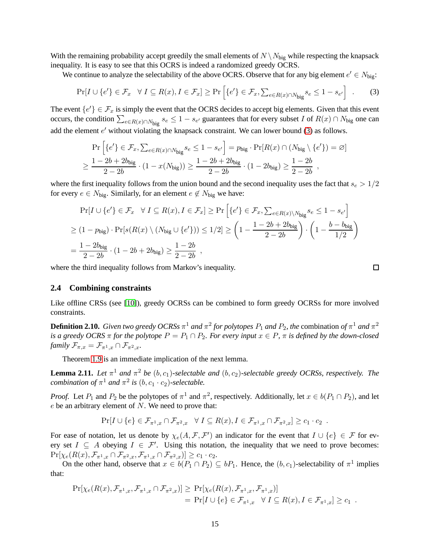With the remaining probability accept greedily the small elements of  $N \setminus N_{\text{big}}$  while respecting the knapsack inequality. It is easy to see that this OCRS is indeed a randomized greedy OCRS.

We continue to analyze the selectability of the above OCRS. Observe that for any big element  $e' \in N_{\text{big}}$ :

<span id="page-15-1"></span>
$$
\Pr[I \cup \{e'\} \in \mathcal{F}_x \quad \forall \ I \subseteq R(x), I \in \mathcal{F}_x] \ge \Pr\left[\{e'\} \in \mathcal{F}_x, \sum_{e \in R(x) \cap N_{\text{big}} s_e \le 1 - s_{e'}\right] \quad . \tag{3}
$$

The event  $\{e'\}\in\mathcal{F}_x$  is simply the event that the OCRS decides to accept big elements. Given that this event occurs, the condition  $\sum_{e \in R(x) \cap N_{\text{big}}} s_e \leq 1 - s_{e'}$  guarantees that for every subset I of  $R(x) \cap N_{\text{big}}$  one can add the element  $e'$  without violating the knapsack constraint. We can lower bound [\(3\)](#page-15-1) as follows.

$$
\Pr\left[\{e'\} \in \mathcal{F}_x, \sum_{e \in R(x) \cap N_{\text{big}}} s_e \le 1 - s_{e'}\right] = p_{\text{big}} \cdot \Pr[R(x) \cap (N_{\text{big}} \setminus \{e'\}) = \varnothing]
$$
  

$$
\ge \frac{1 - 2b + 2b_{\text{big}}}{2 - 2b} \cdot (1 - x(N_{\text{big}})) \ge \frac{1 - 2b + 2b_{\text{big}}}{2 - 2b} \cdot (1 - 2b_{\text{big}}) \ge \frac{1 - 2b}{2 - 2b} ,
$$

where the first inequality follows from the union bound and the second inequality uses the fact that  $s_e > 1/2$ for every  $e \in N_{\text{big}}$ . Similarly, for an element  $e \notin N_{\text{big}}$  we have:

$$
\Pr[I \cup \{e'\} \in \mathcal{F}_x \quad \forall \ I \subseteq R(x), I \in \mathcal{F}_x] \ge \Pr\left[\{e'\} \in \mathcal{F}_x, \sum_{e \in R(x) \setminus N_{\text{big}}} s_e \le 1 - s_{e'}\right]
$$
  
\n
$$
\ge (1 - p_{\text{big}}) \cdot \Pr[s(R(x) \setminus (N_{\text{big}} \cup \{e'\})) \le 1/2] \ge \left(1 - \frac{1 - 2b + 2b_{\text{big}}}{2 - 2b}\right) \cdot \left(1 - \frac{b - b_{\text{big}}}{1/2}\right)
$$
  
\n
$$
= \frac{1 - 2b_{\text{big}}}{2 - 2b} \cdot (1 - 2b + 2b_{\text{big}}) \ge \frac{1 - 2b}{2 - 2b} ,
$$

where the third inequality follows from Markov's inequality.

$$
\Box
$$

#### <span id="page-15-0"></span>**2.4 Combining constraints**

Like offline CRSs (see [\[10\]](#page-30-6)), greedy OCRSs can be combined to form greedy OCRSs for more involved constraints.

 ${\bf Definition~2.10.}$  *Given two greedy OCRSs*  $\pi^1$  *and*  $\pi^2$  *for polytopes*  $P_1$  *and*  $P_2$ *, the combination of*  $\pi^1$  *and*  $\pi^2$ *is a greedy OCRS*  $\pi$  *for the polytope*  $P = P_1 \cap P_2$ *. For every input*  $x \in P$ *,*  $\pi$  *is defined by the down-closed family*  $\mathcal{F}_{\pi,x} = \mathcal{F}_{\pi^1,x} \cap \mathcal{F}_{\pi^2,x}$ *.* 

Theorem [1.9](#page-4-3) is an immediate implication of the next lemma.

**Lemma 2.11.** Let  $\pi^1$  and  $\pi^2$  be  $(b, c_1)$ -selectable and  $(b, c_2)$ -selectable greedy OCRSs, respectively. The *combination of*  $\pi^1$  *and*  $\pi^2$  *is*  $(b, c_1 \cdot c_2)$ *-selectable.* 

*Proof.* Let  $P_1$  and  $P_2$  be the polytopes of  $\pi^1$  and  $\pi^2$ , respectively. Additionally, let  $x \in b(P_1 \cap P_2)$ , and let  $e$  be an arbitrary element of  $N$ . We need to prove that:

$$
\Pr[I \cup \{e\} \in \mathcal{F}_{\pi^1,x} \cap \mathcal{F}_{\pi^2,x} \quad \forall \ I \subseteq R(x), I \in \mathcal{F}_{\pi^1,x} \cap \mathcal{F}_{\pi^2,x} \ge c_1 \cdot c_2 \; .
$$

For ease of notation, let us denote by  $\chi_e(A, \mathcal{F}, \mathcal{F}')$  an indicator for the event that  $I \cup \{e\} \in \mathcal{F}$  for every set  $I \subseteq A$  obeying  $I \in \mathcal{F}'$ . Using this notation, the inequality that we need to prove becomes:  $\Pr[\chi_e(R(x), \mathcal{F}_{\pi^1,x} \cap \mathcal{F}_{\pi^2,x}, \mathcal{F}_{\pi^1,x} \cap \mathcal{F}_{\pi^2,x})] \geq c_1 \cdot c_2.$ 

On the other hand, observe that  $x \in b(P_1 \cap P_2) \subseteq bP_1$ . Hence, the  $(b, c_1)$ -selectability of  $\pi^1$  implies that:

$$
\Pr[\chi_e(R(x), \mathcal{F}_{\pi^1,x}, \mathcal{F}_{\pi^1,x} \cap \mathcal{F}_{\pi^2,x})] \geq \Pr[\chi_e(R(x), \mathcal{F}_{\pi^1,x}, \mathcal{F}_{\pi^1,x})]
$$
  
=  $\Pr[I \cup \{e\} \in \mathcal{F}_{\pi^1,x} \quad \forall I \subseteq R(x), I \in \mathcal{F}_{\pi^1,x}] \geq c_1$ .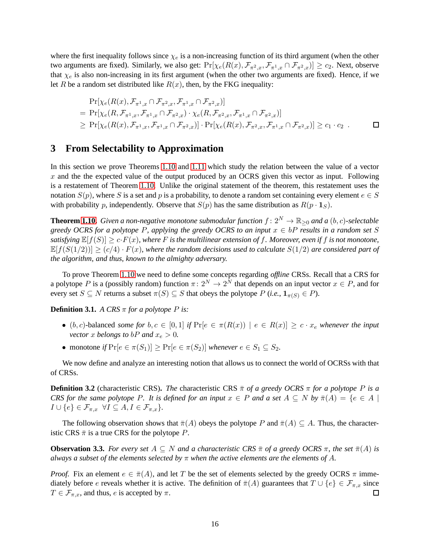where the first inequality follows since  $\chi_e$  is a non-increasing function of its third argument (when the other two arguments are fixed). Similarly, we also get:  $Pr[\chi_e(R(x), \mathcal{F}_{\pi^2,x}, \mathcal{F}_{\pi^1,x} \cap \mathcal{F}_{\pi^2,x})] \ge c_2$ . Next, observe that  $\chi_e$  is also non-increasing in its first argument (when the other two arguments are fixed). Hence, if we let R be a random set distributed like  $R(x)$ , then, by the FKG inequality:

$$
\Pr[\chi_e(R(x), \mathcal{F}_{\pi^1,x} \cap \mathcal{F}_{\pi^2,x}, \mathcal{F}_{\pi^1,x} \cap \mathcal{F}_{\pi^2,x})]
$$
\n
$$
= \Pr[\chi_e(R, \mathcal{F}_{\pi^1,x}, \mathcal{F}_{\pi^1,x} \cap \mathcal{F}_{\pi^2,x}) \cdot \chi_e(R, \mathcal{F}_{\pi^2,x}, \mathcal{F}_{\pi^1,x} \cap \mathcal{F}_{\pi^2,x})]
$$
\n
$$
\geq \Pr[\chi_e(R(x), \mathcal{F}_{\pi^1,x}, \mathcal{F}_{\pi^1,x} \cap \mathcal{F}_{\pi^2,x})] \cdot \Pr[\chi_e(R(x), \mathcal{F}_{\pi^2,x}, \mathcal{F}_{\pi^1,x} \cap \mathcal{F}_{\pi^2,x})] \geq c_1 \cdot c_2.
$$

# <span id="page-16-0"></span>**3 From Selectability to Approximation**

In this section we prove Theorems [1.10](#page-5-1) and [1.11](#page-5-5) which study the relation between the value of a vector x and the the expected value of the output produced by an OCRS given this vector as input. Following is a restatement of Theorem [1.10.](#page-5-1) Unlike the original statement of the theorem, this restatement uses the notation  $S(p)$ , where S is a set and p is a probability, to denote a random set containing every element  $e \in S$ with probability p, independently. Observe that  $S(p)$  has the same distribution as  $R(p \cdot 1_S)$ .

**Theorem [1.10.](#page-5-1)** *Given a non-negative monotone submodular function*  $f: 2^N \to \mathbb{R}_{\geq 0}$  *and a*  $(b, c)$ *-selectable greedy OCRS for a polytope P, applying the greedy OCRS to an input*  $x \in bP$  *results in a random set* S *satisfying*  $\mathbb{E}[f(S)] \ge c \cdot F(x)$ , where F is the multilinear extension of f. Moreover, even if f is not monotone,  $\mathbb{E}[f(S(1/2))] \ge (c/4) \cdot F(x)$ *, where the random decisions used to calculate*  $S(1/2)$  *are considered part of the algorithm, and thus, known to the almighty adversary.*

To prove Theorem [1.10](#page-5-1) we need to define some concepts regarding *offline* CRSs. Recall that a CRS for a polytope P is a (possibly random) function  $\pi: 2^N \to 2^N$  that depends on an input vector  $x \in P$ , and for every set  $S \subseteq N$  returns a subset  $\pi(S) \subseteq S$  that obeys the polytope  $P$  (*i.e.*,  $\mathbf{1}_{\pi(S)} \in P$ ).

**Definition 3.1.** *A CRS*  $\pi$  *for a polytope P is:* 

- (b, c)-balanced *some for*  $b, c \in [0, 1]$  *if*  $\Pr[e \in \pi(R(x))] \mid e \in R(x)] \geq c \cdot x_e$  *whenever the input vector* x *belongs* to *bP* and  $x_e > 0$ .
- monotone *if*  $Pr[e \in \pi(S_1)] \geq Pr[e \in \pi(S_2)]$  *whenever*  $e \in S_1 \subseteq S_2$ *.*

We now define and analyze an interesting notion that allows us to connect the world of OCRSs with that of CRSs.

**Definition 3.2** (characteristic CRS). *The* characteristic CRS  $\bar{\pi}$  *of a greedy OCRS*  $\pi$  *for a polytope* P *is a CRS for the same polytope* P. It is defined for an input  $x \in P$  and a set  $A \subseteq N$  by  $\overline{\pi}(A) = \{e \in A \mid$  $I \cup \{e\} \in \mathcal{F}_{\pi,x} \ \forall I \subseteq A, I \in \mathcal{F}_{\pi,x}$ *}*.

The following observation shows that  $\bar{\pi}(A)$  obeys the polytope P and  $\bar{\pi}(A) \subseteq A$ . Thus, the characteristic CRS  $\bar{\pi}$  is a true CRS for the polytope P.

<span id="page-16-1"></span>**Observation 3.3.** *For every set*  $A \subseteq N$  *and a characteristic CRS*  $\bar{\pi}$  *of a greedy OCRS*  $\pi$ *, the set*  $\bar{\pi}(A)$  *is always a subset of the elements selected by* π *when the active elements are the elements of* A*.*

*Proof.* Fix an element  $e \in \bar{\pi}(A)$ , and let T be the set of elements selected by the greedy OCRS  $\pi$  immediately before e reveals whether it is active. The definition of  $\pi(A)$  guarantees that  $T \cup \{e\} \in \mathcal{F}_{\pi,x}$  since  $T \in \mathcal{F}_{\pi,x}$ , and thus, e is accepted by  $\pi$ .  $\Box$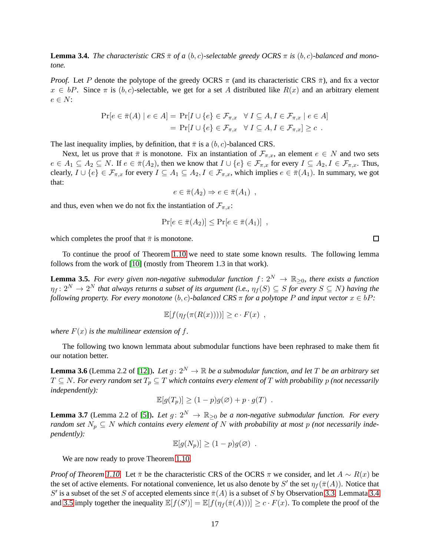<span id="page-17-0"></span>**Lemma 3.4.** *The characteristic CRS*  $\bar{\pi}$  *of a* (*b, c*)*-selectable greedy OCRS*  $\pi$  *is* (*b, c*)*-balanced and monotone.*

*Proof.* Let P denote the polytope of the greedy OCRS  $\pi$  (and its characteristic CRS  $\bar{\pi}$ ), and fix a vector  $x \in bP$ . Since  $\pi$  is  $(b, c)$ -selectable, we get for a set A distributed like  $R(x)$  and an arbitrary element  $e \in N$ :

$$
\Pr[e \in \bar{\pi}(A) \mid e \in A] = \Pr[I \cup \{e\} \in \mathcal{F}_{\pi,x} \quad \forall I \subseteq A, I \in \mathcal{F}_{\pi,x} \mid e \in A]
$$

$$
= \Pr[I \cup \{e\} \in \mathcal{F}_{\pi,x} \quad \forall I \subseteq A, I \in \mathcal{F}_{\pi,x}] \ge c.
$$

The last inequality implies, by definition, that  $\bar{\pi}$  is a  $(b, c)$ -balanced CRS.

Next, let us prove that  $\bar{\pi}$  is monotone. Fix an instantiation of  $\mathcal{F}_{\pi,x}$ , an element  $e \in N$  and two sets  $e \in A_1 \subseteq A_2 \subseteq N$ . If  $e \in \overline{\pi}(A_2)$ , then we know that  $I \cup \{e\} \in \mathcal{F}_{\pi,x}$  for every  $I \subseteq A_2, I \in \mathcal{F}_{\pi,x}$ . Thus, clearly,  $I \cup \{e\} \in \mathcal{F}_{\pi,x}$  for every  $I \subseteq A_1 \subseteq A_2, I \in \mathcal{F}_{\pi,x}$ , which implies  $e \in \bar{\pi}(A_1)$ . In summary, we got that:

$$
e \in \bar{\pi}(A_2) \Rightarrow e \in \bar{\pi}(A_1) ,
$$

and thus, even when we do not fix the instantiation of  $\mathcal{F}_{\pi,x}$ :

$$
\Pr[e \in \bar{\pi}(A_2)] \leq \Pr[e \in \bar{\pi}(A_1)] ,
$$

which completes the proof that  $\bar{\pi}$  is monotone.

To continue the proof of Theorem [1.10](#page-5-1) we need to state some known results. The following lemma follows from the work of [\[10\]](#page-30-6) (mostly from Theorem 1.3 in that work).

<span id="page-17-1"></span>**Lemma 3.5.** For every given non-negative submodular function  $f: 2^N \to \mathbb{R}_{\geq 0}$ , there exists a function  $\eta_f\colon 2^N\to 2^N$  that always returns a subset of its argument (i.e.,  $\eta_f(S)\subseteq S$  for every  $S\subseteq N$ ) having the *following property. For every monotone*  $(b, c)$ -balanced CRS  $\pi$  *for a polytope* P and *input vector*  $x \in bP$ :

$$
\mathbb{E}[f(\eta_f(\pi(R(x))))] \ge c \cdot F(x) ,
$$

*where*  $F(x)$  *is the multilinear extension of f.* 

The following two known lemmata about submodular functions have been rephrased to make them fit our notation better.

<span id="page-17-3"></span>**Lemma 3.6** (Lemma 2.2 of [\[12\]](#page-30-11)). Let  $g: 2^N \to \mathbb{R}$  be a submodular function, and let T be an arbitrary set  $T \subseteq N$ . For every random set  $T_p \subseteq T$  which contains every element of T with probability p (not necessarily *independently):*

$$
\mathbb{E}[g(T_p)] \ge (1-p)g(\varnothing) + p \cdot g(T) .
$$

<span id="page-17-2"></span>**Lemma 3.7** (Lemma 2.2 of [\[5\]](#page-30-12)). Let  $g: 2^N \to \mathbb{R}_{\geq 0}$  be a non-negative submodular function. For every *random set*  $N_p \subseteq N$  *which contains every element of* N *with probability at most* p (not necessarily inde*pendently):*

$$
\mathbb{E}[g(N_p)] \ge (1-p)g(\varnothing)
$$

We are now ready to prove Theorem [1.10.](#page-5-1)

*Proof of Theorem [1.10.](#page-5-1)* Let  $\bar{\pi}$  be the characteristic CRS of the OCRS  $\pi$  we consider, and let  $A \sim R(x)$  be the set of active elements. For notational convenience, let us also denote by S' the set  $\eta_f(\bar{\pi}(A))$ . Notice that S' is a subset of the set S of accepted elements since  $\bar{\pi}(A)$  is a subset of S by Observation [3.3.](#page-16-1) Lemmata [3.4](#page-17-0) and [3.5](#page-17-1) imply together the inequality  $\mathbb{E}[f(S')] = \mathbb{E}[f(\eta_f(\bar{\pi}(A)))] \ge c \cdot F(x)$ . To complete the proof of the

 $\Box$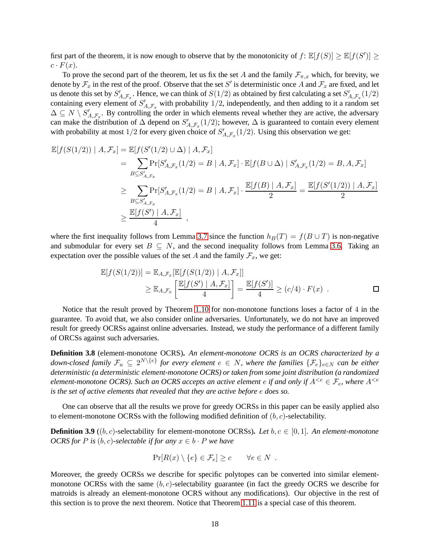first part of the theorem, it is now enough to observe that by the monotonicity of  $f: \mathbb{E}[f(S)] \geq \mathbb{E}[f(S')] \geq$  $c \cdot F(x)$ .

To prove the second part of the theorem, let us fix the set A and the family  $\mathcal{F}_{\pi,x}$  which, for brevity, we denote by  $\mathcal{F}_x$  in the rest of the proof. Observe that the set S' is deterministic once A and  $\mathcal{F}_x$  are fixed, and let us denote this set by  $S'_{A,\mathcal{F}_x}$ . Hence, we can think of  $S(1/2)$  as obtained by first calculating a set  $S'_{A,\mathcal{F}_x}(1/2)$ containing every element of  $S'_{A,\mathcal{F}_x}$  with probability 1/2, independently, and then adding to it a random set  $\Delta \subseteq N \setminus S'_{A,\mathcal{F}_{\alpha}}$ . By controlling the order in which elements reveal whether they are active, the adversary  $\Delta \subseteq N \setminus \mathcal{O}_{A,\mathcal{F}_x}$ . By controlling the order in which elements reveal whether they are active, the adversary can make the distribution of  $\Delta$  depend on  $S'_{A,\mathcal{F}_x}(1/2)$ ; however,  $\Delta$  is guaranteed to contain ev with probability at most 1/2 for every given choice of  $S'_{A,\mathcal{F}_x}(1/2)$ . Using this observation we get:

$$
\mathbb{E}[f(S(1/2)) | A, \mathcal{F}_x] = \mathbb{E}[f(S'(1/2) \cup \Delta) | A, \mathcal{F}_x]
$$
  
\n
$$
= \sum_{B \subseteq S'_{A, \mathcal{F}_x}} \Pr[S'_{A, \mathcal{F}_x}(1/2) = B | A, \mathcal{F}_x] \cdot \mathbb{E}[f(B \cup \Delta) | S'_{A, \mathcal{F}_x}(1/2) = B, A, \mathcal{F}_x]
$$
  
\n
$$
\geq \sum_{B \subseteq S'_{A, \mathcal{F}_x}} \Pr[S'_{A, \mathcal{F}_x}(1/2) = B | A, \mathcal{F}_x] \cdot \frac{\mathbb{E}[f(B) | A, \mathcal{F}_x]}{2} = \frac{\mathbb{E}[f(S'(1/2)) | A, \mathcal{F}_x]}{2}
$$
  
\n
$$
\geq \frac{\mathbb{E}[f(S') | A, \mathcal{F}_x]}{4},
$$

where the first inequality follows from Lemma [3.7](#page-17-2) since the function  $h_B(T) = f(B \cup T)$  is non-negative and submodular for every set  $B \subseteq N$ , and the second inequality follows from Lemma [3.6.](#page-17-3) Taking an expectation over the possible values of the set A and the family  $\mathcal{F}_x$ , we get:

$$
\mathbb{E}[f(S(1/2))] = \mathbb{E}_{A,\mathcal{F}_x}[\mathbb{E}[f(S(1/2)) | A, \mathcal{F}_x]]
$$
  
\n
$$
\geq \mathbb{E}_{A,\mathcal{F}_x} \left[ \frac{\mathbb{E}[f(S') | A, \mathcal{F}_x]}{4} \right] = \frac{\mathbb{E}[f(S')]}{4} \geq (c/4) \cdot F(x) .
$$

Notice that the result proved by Theorem [1.10](#page-5-1) for non-monotone functions loses a factor of 4 in the guarantee. To avoid that, we also consider online adversaries. Unfortunately, we do not have an improved result for greedy OCRSs against online adversaries. Instead, we study the performance of a different family of ORCSs against such adversaries.

**Definition 3.8** (element-monotone OCRS)**.** *An element-monotone OCRS is an OCRS characterized by a* down-closed family  $\mathcal{F}_u \subseteq 2^{N\setminus\{e\}}$  for every element  $e\in N$ , where the families  $\{\mathcal{F}_e\}_{e\in N}$  can be either *deterministic (a deterministic element-monotone OCRS) or taken from some joint distribution (a randomized element-monotone OCRS). Such an OCRS accepts an active element e if and only if*  $A^{*, where*  $A^{$$ *is the set of active elements that revealed that they are active before* e *does so.*

One can observe that all the results we prove for greedy OCRSs in this paper can be easily applied also to element-monotone OCRSs with the following modified definition of  $(b, c)$ -selectability.

**Definition 3.9** ((b, c)-selectability for element-monotone OCRSs). Let  $b, c \in [0, 1]$ . An element-monotone *OCRS for* P is  $(b, c)$ -selectable if for any  $x \in b \cdot P$  we have

$$
Pr[R(x) \setminus \{e\} \in \mathcal{F}_e] \ge c \qquad \forall e \in N.
$$

Moreover, the greedy OCRSs we describe for specific polytopes can be converted into similar elementmonotone OCRSs with the same  $(b, c)$ -selectability guarantee (in fact the greedy OCRS we describe for matroids is already an element-monotone OCRS without any modifications). Our objective in the rest of this section is to prove the next theorem. Notice that Theorem [1.11](#page-5-5) is a special case of this theorem.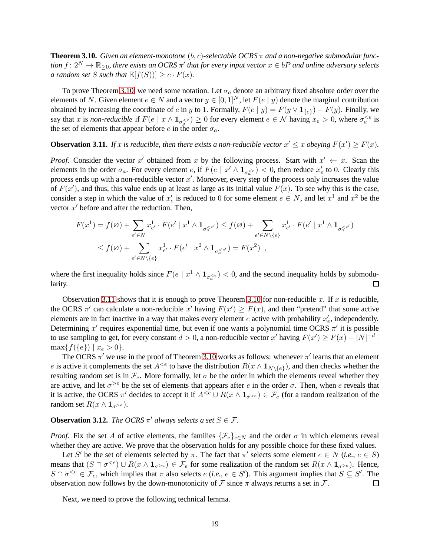<span id="page-19-0"></span>**Theorem 3.10.** *Given an element-monotone*  $(b, c)$ -selectable OCRS  $\pi$  and a non-negative submodular function  $f\colon 2^N\to \mathbb{R}_{\geq 0}$ , there exists an OCRS  $\pi'$  that for every input vector  $x\in bP$  and online adversary selects *a random set S such that*  $\mathbb{E}[f(S)] \ge c \cdot F(x)$ *.* 

To prove Theorem [3.10,](#page-19-0) we need some notation. Let  $\sigma_a$  denote an arbitrary fixed absolute order over the elements of N. Given element  $e \in N$  and a vector  $y \in [0,1]^N$ , let  $F(e | y)$  denote the marginal contribution obtained by increasing the coordinate of e in y to 1. Formally,  $F(e | y) = F(y \vee 1_{\{e\}}) - F(y)$ . Finally, we say that x is *non-reducible* if  $F(e \mid x \wedge 1_{\sigma^{\leq e}}) \geq 0$  for every element  $e \in \mathcal{N}$  having  $x_e > 0$ , where  $\sigma^{\leq e}_a$  is the set of elements that appear before e in the order  $\sigma_a$ .

## <span id="page-19-1"></span>**Observation 3.11.** If x is reducible, then there exists a non-reducible vector  $x' \leq x$  obeying  $F(x') \geq F(x)$ .

*Proof.* Consider the vector x' obtained from x by the following process. Start with  $x' \leftarrow x$ . Scan the elements in the order  $\sigma_a$ . For every element e, if  $F(e \mid x' \wedge 1_{\sigma_a^{< e}}) < 0$ , then reduce  $x'_e$  to 0. Clearly this process ends up with a non-reducible vector  $x'$ . Moreover, every step of the process only increases the value of  $F(x')$ , and thus, this value ends up at least as large as its initial value  $F(x)$ . To see why this is the case, consider a step in which the value of  $x'_e$  is reduced to 0 for some element  $e \in N$ , and let  $x^1$  and  $x^2$  be the vector  $x'$  before and after the reduction. Then,

$$
F(x^{1}) = f(\emptyset) + \sum_{e' \in N} x_{e'}^{1} \cdot F(e' \mid x^{1} \wedge \mathbf{1}_{\sigma_{a}^{< e'}}) \leq f(\emptyset) + \sum_{e' \in N \setminus \{e\}} x_{e'}^{1} \cdot F(e' \mid x^{1} \wedge \mathbf{1}_{\sigma_{a}^{< e'}})
$$
  

$$
\leq f(\emptyset) + \sum_{e' \in N \setminus \{e\}} x_{e'}^{1} \cdot F(e' \mid x^{2} \wedge \mathbf{1}_{\sigma_{a}^{< e'}}) = F(x^{2}),
$$

where the first inequality holds since  $F(e \mid x^1 \wedge 1_{\sigma_0^{< e}}) < 0$ , and the second inequality holds by submodularity.  $\Box$ 

Observation [3.11](#page-19-1) shows that it is enough to prove Theorem [3.10](#page-19-0) for non-reducible x. If x is reducible, the OCRS  $\pi'$  can calculate a non-reducible x' having  $F(x') \geq F(x)$ , and then "pretend" that some active elements are in fact inactive in a way that makes every element  $e$  active with probability  $x'_e$ , independently. Determining  $x'$  requires exponential time, but even if one wants a polynomial time OCRS  $\pi'$  it is possible to use sampling to get, for every constant  $d > 0$ , a non-reducible vector x' having  $F(x') \ge F(x) - |N|^{-d}$ .  $\max\{f(\{e\}) \mid x_e > 0\}.$ 

The OCRS  $\pi'$  we use in the proof of Theorem [3.10](#page-19-0) works as follows: whenever  $\pi'$  learns that an element e is active it complements the set  $A^{ to have the distribution  $R(x \wedge 1_{N \setminus \{e\}})$ , and then checks whether the$ resulting random set is in  $\mathcal{F}_e$ . More formally, let  $\sigma$  be the order in which the elements reveal whether they are active, and let  $\sigma^{>e}$  be the set of elements that appears after e in the order  $\sigma$ . Then, when e reveals that it is active, the OCRS  $\pi'$  decides to accept it if  $A^{e}}) \in \mathcal{F}_e$  (for a random realization of the random set  $R(x \wedge 1_{\sigma^{>e}})$ .

## **Observation 3.12.** *The OCRS*  $\pi'$  *always selects a set*  $S \in \mathcal{F}$ *.*

*Proof.* Fix the set A of active elements, the families  $\{\mathcal{F}_e\}_{e \in N}$  and the order  $\sigma$  in which elements reveal whether they are active. We prove that the observation holds for any possible choice for these fixed values.

Let S' be the set of elements selected by  $\pi$ . The fact that  $\pi'$  selects some element  $e \in N$  (*i.e.*,  $e \in S$ ) means that  $(S \cap \sigma^{< e}) \cup R(x \wedge 1_{\sigma^{< e}}) \in \mathcal{F}_e$  for some realization of the random set  $R(x \wedge 1_{\sigma^{> e}})$ . Hence,  $S \cap \sigma^{<\epsilon} \in \mathcal{F}_e$ , which implies that  $\pi$  also selects  $e$  (*i.e.*,  $e \in S'$ ). This argument implies that  $S \subseteq S'$ . The observation now follows by the down-monotonicity of F since  $\pi$  always returns a set in F.  $\Box$ 

Next, we need to prove the following technical lemma.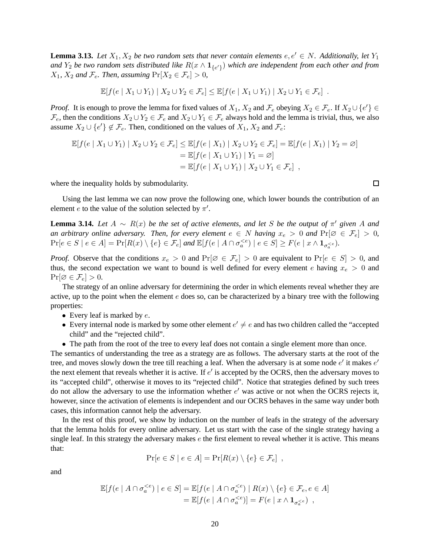<span id="page-20-0"></span>**Lemma 3.13.** Let  $X_1, X_2$  be two random sets that never contain elements  $e, e' \in N$ . Additionally, let  $Y_1$ and  $Y_2$  be two random sets distributed like  $R(x \wedge 1_{\{e'\}})$  which are independent from each other and from  $X_1, X_2$  *and*  $\mathcal{F}_e$ *. Then, assuming*  $\Pr[X_2 \in \mathcal{F}_e] > 0$ *,* 

$$
\mathbb{E}[f(e \mid X_1 \cup Y_1) \mid X_2 \cup Y_2 \in \mathcal{F}_e] \leq \mathbb{E}[f(e \mid X_1 \cup Y_1) \mid X_2 \cup Y_1 \in \mathcal{F}_e].
$$

*Proof.* It is enough to prove the lemma for fixed values of  $X_1$ ,  $X_2$  and  $\mathcal{F}_e$  obeying  $X_2 \in \mathcal{F}_e$ . If  $X_2 \cup \{e'\} \in$  $\mathcal{F}_e$ , then the conditions  $X_2 \cup Y_2 \in \mathcal{F}_e$  and  $X_2 \cup Y_1 \in \mathcal{F}_e$  always hold and the lemma is trivial, thus, we also assume  $X_2 \cup \{e'\} \notin \mathcal{F}_e$ . Then, conditioned on the values of  $X_1, X_2$  and  $\mathcal{F}_e$ :

$$
\mathbb{E}[f(e \mid X_1 \cup Y_1) \mid X_2 \cup Y_2 \in \mathcal{F}_e] \leq \mathbb{E}[f(e \mid X_1) \mid X_2 \cup Y_2 \in \mathcal{F}_e] = \mathbb{E}[f(e \mid X_1) \mid Y_2 = \varnothing]
$$
  
\n
$$
= \mathbb{E}[f(e \mid X_1 \cup Y_1) \mid Y_1 = \varnothing]
$$
  
\n
$$
= \mathbb{E}[f(e \mid X_1 \cup Y_1) \mid X_2 \cup Y_1 \in \mathcal{F}_e],
$$

where the inequality holds by submodularity.

Using the last lemma we can now prove the following one, which lower bounds the contribution of an element *e* to the value of the solution selected by  $\pi'$ .

<span id="page-20-1"></span>**Lemma 3.14.** *Let*  $A \sim R(x)$  *be the set of active elements, and let* S *be the output of*  $\pi'$  given A and *an arbitrary online adversary. Then, for every element*  $e \in N$  *having*  $x_e > 0$  *and*  $\Pr[\emptyset \in \mathcal{F}_e] > 0$ *,*  $\Pr[e \in S \mid e \in A] = \Pr[R(x) \setminus \{e\} \in \mathcal{F}_e]$  and  $\mathbb{E}[f(e \mid A \cap \sigma_a^{$ 

*Proof.* Observe that the conditions  $x_e > 0$  and  $Pr[\emptyset \in \mathcal{F}_e] > 0$  are equivalent to  $Pr[e \in S] > 0$ , and thus, the second expectation we want to bound is well defined for every element e having  $x_e > 0$  and  $Pr[\emptyset \in \mathcal{F}_e] > 0.$ 

The strategy of an online adversary for determining the order in which elements reveal whether they are active, up to the point when the element  $e$  does so, can be characterized by a binary tree with the following properties:

- Every leaf is marked by  $e$ .
- Every internal node is marked by some other element  $e' \neq e$  and has two children called the "accepted" child" and the "rejected child".
- The path from the root of the tree to every leaf does not contain a single element more than once.

The semantics of understanding the tree as a strategy are as follows. The adversary starts at the root of the tree, and moves slowly down the tree till reaching a leaf. When the adversary is at some node  $e'$  it makes  $e'$ the next element that reveals whether it is active. If  $e'$  is accepted by the OCRS, then the adversary moves to its "accepted child", otherwise it moves to its "rejected child". Notice that strategies defined by such trees do not allow the adversary to use the information whether  $e'$  was active or not when the OCRS rejects it, however, since the activation of elements is independent and our OCRS behaves in the same way under both cases, this information cannot help the adversary.

In the rest of this proof, we show by induction on the number of leafs in the strategy of the adversary that the lemma holds for every online adversary. Let us start with the case of the single strategy having a single leaf. In this strategy the adversary makes  $e$  the first element to reveal whether it is active. This means that:

$$
\Pr[e \in S \mid e \in A] = \Pr[R(x) \setminus \{e\} \in \mathcal{F}_e],
$$

and

$$
\mathbb{E}[f(e \mid A \cap \sigma_a^{  
= 
$$
\mathbb{E}[f(e \mid A \cap \sigma_a^{
$$
$$

 $\Box$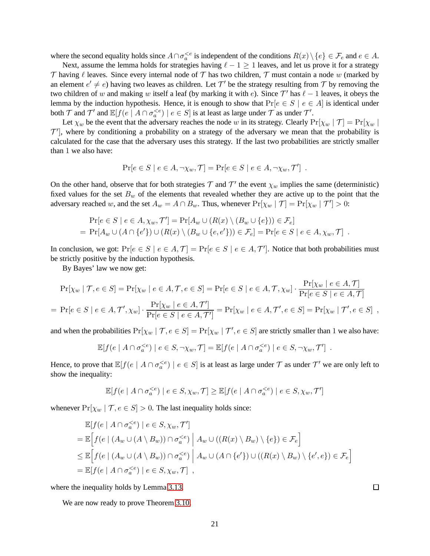where the second equality holds since  $A \cap \sigma_a^{< e}$  is independent of the conditions  $R(x) \setminus \{e\} \in \mathcal{F}_e$  and  $e \in A$ .

Next, assume the lemma holds for strategies having  $\ell - 1 \ge 1$  leaves, and let us prove it for a strategy T having  $\ell$  leaves. Since every internal node of T has two children, T must contain a node w (marked by an element  $e' \neq e$ ) having two leaves as children. Let  $\mathcal{T}'$  be the strategy resulting from  $\mathcal{T}$  by removing the two children of w and making w itself a leaf (by marking it with e). Since  $\mathcal{T}'$  has  $\ell - 1$  leaves, it obeys the lemma by the induction hypothesis. Hence, it is enough to show that  $Pr[e \in S \mid e \in A]$  is identical under both  $\mathcal T$  and  $\mathcal T'$  and  $\mathbb{E}[f(e \mid A \cap \sigma_a^{< e}) \mid e \in S]$  is at least as large under  $\mathcal T$  as under  $\mathcal T'.$ 

Let  $\chi_w$  be the event that the adversary reaches the node w in its strategy. Clearly  $Pr[\chi_w | T] = Pr[\chi_w | T]$  $\mathcal{T}'$ ], where by conditioning a probability on a strategy of the adversary we mean that the probability is calculated for the case that the adversary uses this strategy. If the last two probabilities are strictly smaller than 1 we also have:

$$
Pr[e \in S \mid e \in A, \neg \chi_w, \mathcal{T}] = Pr[e \in S \mid e \in A, \neg \chi_w, \mathcal{T}'] .
$$

On the other hand, observe that for both strategies  $\tau$  and  $\tau'$  the event  $\chi_w$  implies the same (deterministic) fixed values for the set  $B_w$  of the elements that revealed whether they are active up to the point that the adversary reached w, and the set  $A_w = A \cap B_w$ . Thus, whenever  $Pr[\chi_w | \mathcal{T}] = Pr[\chi_w | \mathcal{T}'] > 0$ :

$$
\Pr[e \in S \mid e \in A, \chi_w, \mathcal{T}'] = \Pr[A_w \cup (R(x) \setminus (B_w \cup \{e\})) \in \mathcal{F}_e]
$$
  
= 
$$
\Pr[A_w \cup (A \cap \{e'\}) \cup (R(x) \setminus (B_w \cup \{e, e'\})) \in \mathcal{F}_e] = \Pr[e \in S \mid e \in A, \chi_w, \mathcal{T}].
$$

In conclusion, we got:  $Pr[e \in S \mid e \in A, \mathcal{T}] = Pr[e \in S \mid e \in A, \mathcal{T}']$ . Notice that both probabilities must be strictly positive by the induction hypothesis.

By Bayes' law we now get:

$$
\Pr[\chi_w \mid \mathcal{T}, e \in S] = \Pr[\chi_w \mid e \in A, \mathcal{T}, e \in S] = \Pr[e \in S \mid e \in A, \mathcal{T}, \chi_w] \cdot \frac{\Pr[\chi_w \mid e \in A, \mathcal{T}]}{\Pr[e \in S \mid e \in A, \mathcal{T}]} = \Pr[e \in S \mid e \in A, \mathcal{T}', \chi_w] \cdot \frac{\Pr[\chi_w \mid e \in A, \mathcal{T}']}{\Pr[e \in S \mid e \in A, \mathcal{T}']} = \Pr[\chi_w \mid e \in A, \mathcal{T}', e \in S] = \Pr[\chi_w \mid \mathcal{T}', e \in S] ,
$$

and when the probabilities  $Pr[\chi_w | T, e \in S] = Pr[\chi_w | T', e \in S]$  are strictly smaller than 1 we also have:

$$
\mathbb{E}[f(e \mid A \cap \sigma_a^{< e}) \mid e \in S, \neg \chi_w, \mathcal{T}] = \mathbb{E}[f(e \mid A \cap \sigma_a^{< e}) \mid e \in S, \neg \chi_w, \mathcal{T}'] .
$$

Hence, to prove that  $\mathbb{E}[f(e \mid A \cap \sigma_a^{< e}) \mid e \in S]$  is at least as large under  $\mathcal T$  as under  $\mathcal T'$  we are only left to show the inequality:

$$
\mathbb{E}[f(e \mid A \cap \sigma_a^{< e}) \mid e \in S, \chi_w, \mathcal{T}] \geq \mathbb{E}[f(e \mid A \cap \sigma_a^{< e}) \mid e \in S, \chi_w, \mathcal{T}']
$$

whenever  $Pr[\chi_w | \mathcal{T}, e \in S] > 0$ . The last inequality holds since:

$$
\mathbb{E}[f(e | A \cap \sigma_a^{< e}) | e \in S, \chi_w, \mathcal{T}']
$$
\n
$$
= \mathbb{E}\Big[f(e | (A_w \cup (A \setminus B_w)) \cap \sigma_a^{< e}) | A_w \cup ((R(x) \setminus B_w) \setminus \{e\}) \in \mathcal{F}_e\Big]
$$
\n
$$
\leq \mathbb{E}\Big[f(e | (A_w \cup (A \setminus B_w)) \cap \sigma_a^{< e}) | A_w \cup (A \cap \{e'\}) \cup ((R(x) \setminus B_w) \setminus \{e', e\}) \in \mathcal{F}_e\Big]
$$
\n
$$
= \mathbb{E}[f(e | A \cap \sigma_a^{< e}) | e \in S, \chi_w, \mathcal{T}],
$$

where the inequality holds by Lemma [3.13.](#page-20-0)

We are now ready to prove Theorem [3.10.](#page-19-0)

口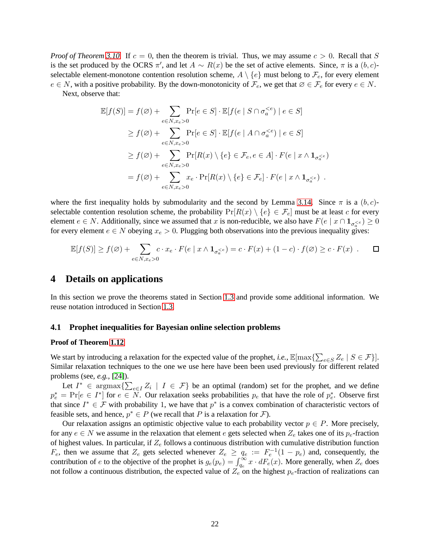*Proof of Theorem* [3.10.](#page-19-0) If  $c = 0$ , then the theorem is trivial. Thus, we may assume  $c > 0$ . Recall that S is the set produced by the OCRS  $\pi'$ , and let  $A \sim R(x)$  be the set of active elements. Since,  $\pi$  is a  $(b, c)$ selectable element-monotone contention resolution scheme,  $A \setminus \{e\}$  must belong to  $\mathcal{F}_e$ , for every element  $e \in N$ , with a positive probability. By the down-monotonicity of  $\mathcal{F}_e$ , we get that  $\emptyset \in \mathcal{F}_e$  for every  $e \in N$ . Next, observe that:

$$
\mathbb{E}[f(S)] = f(\emptyset) + \sum_{e \in N, x_e > 0} \Pr[e \in S] \cdot \mathbb{E}[f(e \mid S \cap \sigma_a^{< e}) \mid e \in S]
$$
\n
$$
\geq f(\emptyset) + \sum_{e \in N, x_e > 0} \Pr[e \in S] \cdot \mathbb{E}[f(e \mid A \cap \sigma_a^{< e}) \mid e \in S]
$$
\n
$$
\geq f(\emptyset) + \sum_{e \in N, x_e > 0} \Pr[R(x) \setminus \{e\} \in \mathcal{F}_e, e \in A] \cdot F(e \mid x \wedge 1_{\sigma_a^{< e}})
$$
\n
$$
= f(\emptyset) + \sum_{e \in N, x_e > 0} x_e \cdot \Pr[R(x) \setminus \{e\} \in \mathcal{F}_e] \cdot F(e \mid x \wedge 1_{\sigma_a^{< e}}).
$$

where the first inequality holds by submodularity and the second by Lemma [3.14.](#page-20-1) Since  $\pi$  is a  $(b, c)$ selectable contention resolution scheme, the probability  $Pr[R(x) \setminus \{e\} \in \mathcal{F}_e]$  must be at least c for every element  $e \in N$ . Additionally, since we assumed that x is non-reducible, we also have  $F(e \mid x \cap 1_{\sigma_a^{$ for every element  $e \in N$  obeying  $x_e > 0$ . Plugging both observations into the previous inequality gives:

$$
\mathbb{E}[f(S)] \ge f(\varnothing) + \sum_{e \in N, x_e > 0} c \cdot x_e \cdot F(e \mid x \wedge \mathbf{1}_{\sigma_a^{
$$

## <span id="page-22-0"></span>**4 Details on applications**

In this section we prove the theorems stated in Section [1.3](#page-5-0) and provide some additional information. We reuse notation introduced in Section [1.3.](#page-5-0)

#### <span id="page-22-1"></span>**4.1 Prophet inequalities for Bayesian online selection problems**

#### **Proof of Theorem [1.12](#page-6-1)**

We start by introducing a relaxation for the expected value of the prophet, *i.e.*,  $\mathbb{E}[\max\{\sum_{e\in S} Z_e \mid S \in \mathcal{F}\}]$ . Similar relaxation techniques to the one we use here have been been used previously for different related problems (see, *e.g.*, [\[24\]](#page-31-0)).

Let  $I^* \in \text{argmax}\left\{\sum_{e \in I} Z_i \mid I \in \mathcal{F}\right\}$  be an optimal (random) set for the prophet, and we define  $p_e^* = \Pr[e \in I^*]$  for  $e \in \overline{N}$ . Our relaxation seeks probabilities  $p_e$  that have the role of  $p_e^*$ . Observe first that since  $I^* \in \mathcal{F}$  with probability 1, we have that  $p^*$  is a convex combination of characteristic vectors of feasible sets, and hence,  $p^* \in P$  (we recall that P is a relaxation for F).

Our relaxation assigns an optimistic objective value to each probability vector  $p \in P$ . More precisely, for any  $e \in N$  we assume in the relaxation that element e gets selected when  $Z_e$  takes one of its  $p_e$ -fraction of highest values. In particular, if  $Z_e$  follows a continuous distribution with cumulative distribution function  $F_e$ , then we assume that  $Z_e$  gets selected whenever  $Z_e \ge q_e := F_e^{-1}(1 - p_e)$  and, consequently, the contribution of e to the objective of the prophet is  $g_e(p_e) = \int_{q_e}^{\infty} x \cdot dF_e(x)$ . More generally, when  $Z_e$  does not follow a continuous distribution, the expected value of  $Z_e$  on the highest  $p_e$ -fraction of realizations can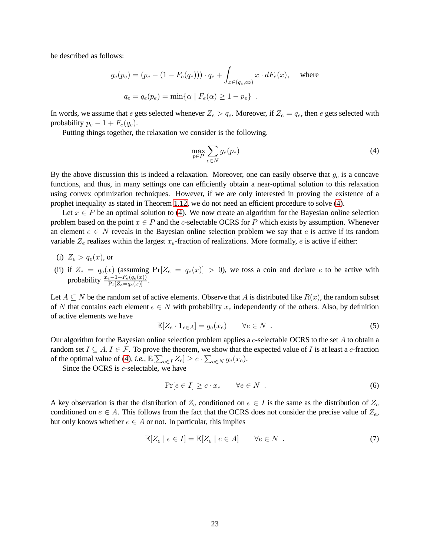be described as follows:

$$
g_e(p_e) = (p_e - (1 - F_e(q_e))) \cdot q_e + \int_{x \in (q_e, \infty)} x \cdot dF_e(x),
$$
 where  
 $q_e = q_e(p_e) = \min{\alpha | F_e(\alpha) \ge 1 - p_e}.$ 

In words, we assume that e gets selected whenever  $Z_e > q_e$ . Moreover, if  $Z_e = q_e$ , then e gets selected with probability  $p_e - 1 + F_e(q_e)$ .

Putting things together, the relaxation we consider is the following.

<span id="page-23-0"></span>
$$
\max_{p \in P} \sum_{e \in N} g_e(p_e) \tag{4}
$$

By the above discussion this is indeed a relaxation. Moreover, one can easily observe that  $g_e$  is a concave functions, and thus, in many settings one can efficiently obtain a near-optimal solution to this relaxation using convex optimization techniques. However, if we are only interested in proving the existence of a prophet inequality as stated in Theorem [1.12,](#page-6-1) we do not need an efficient procedure to solve [\(4\)](#page-23-0).

Let  $x \in P$  be an optimal solution to [\(4\)](#page-23-0). We now create an algorithm for the Bayesian online selection problem based on the point  $x \in P$  and the c-selectable OCRS for P which exists by assumption. Whenever an element  $e \in N$  reveals in the Bayesian online selection problem we say that e is active if its random variable  $Z_e$  realizes within the largest  $x_e$ -fraction of realizations. More formally, e is active if either:

- (i)  $Z_e > q_e(x)$ , or
- (ii) if  $Z_e = q_e(x)$  (assuming  $Pr[Z_e = q_e(x)] > 0$ ), we toss a coin and declare e to be active with probability  $\frac{x_e-1+F_e(q_e(x))}{\Pr[Z_e=q_e(x)]}$ .

Let  $A \subseteq N$  be the random set of active elements. Observe that A is distributed like  $R(x)$ , the random subset of N that contains each element  $e \in N$  with probability  $x_e$  independently of the others. Also, by definition of active elements we have

<span id="page-23-3"></span>
$$
\mathbb{E}[Z_e \cdot \mathbf{1}_{e \in A}] = g_e(x_e) \qquad \forall e \in N . \tag{5}
$$

Our algorithm for the Bayesian online selection problem applies a c-selectable OCRS to the set A to obtain a random set  $I \subseteq A, I \in \mathcal{F}$ . To prove the theorem, we show that the expected value of I is at least a c-fraction of the optimal value of [\(4\)](#page-23-0), *i.e.*,  $\mathbb{E}[\sum_{e \in I} Z_e] \ge c \cdot \sum_{e \in N} g_e(x_e)$ .

Since the OCRS is *c*-selectable, we have

<span id="page-23-1"></span>
$$
\Pr[e \in I] \ge c \cdot x_e \qquad \forall e \in N \tag{6}
$$

A key observation is that the distribution of  $Z_e$  conditioned on  $e \in I$  is the same as the distribution of  $Z_e$ conditioned on  $e \in A$ . This follows from the fact that the OCRS does not consider the precise value of  $Z_e$ , but only knows whether  $e \in A$  or not. In particular, this implies

<span id="page-23-2"></span>
$$
\mathbb{E}[Z_e \mid e \in I] = \mathbb{E}[Z_e \mid e \in A] \qquad \forall e \in N . \tag{7}
$$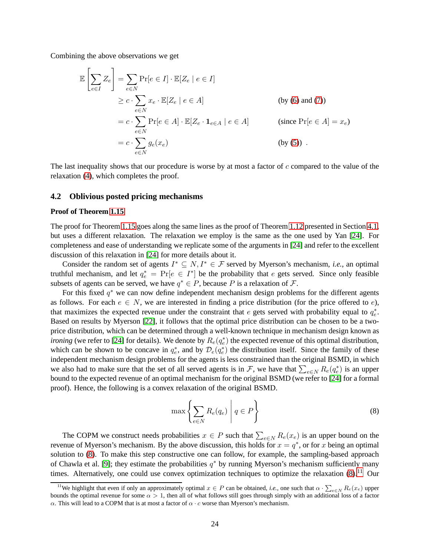Combining the above observations we get

$$
\mathbb{E}\left[\sum_{e\in I} Z_e\right] = \sum_{e\in N} \Pr[e \in I] \cdot \mathbb{E}[Z_e \mid e \in I]
$$
\n
$$
\geq c \cdot \sum_{e\in N} x_e \cdot \mathbb{E}[Z_e \mid e \in A] \qquad \text{(by (6) and (7))}
$$
\n
$$
= c \cdot \sum_{e\in N} \Pr[e \in A] \cdot \mathbb{E}[Z_e \cdot \mathbf{1}_{e\in A} \mid e \in A] \qquad \text{(since } \Pr[e \in A] = x_e)
$$
\n
$$
= c \cdot \sum_{e\in N} g_e(x_e) \qquad \text{(by (5)) .}
$$

The last inequality shows that our procedure is worse by at most a factor of  $c$  compared to the value of the relaxation [\(4\)](#page-23-0), which completes the proof.

### **4.2 Oblivious posted pricing mechanisms**

#### **Proof of Theorem [1.15](#page-8-3)**

The proof for Theorem [1.15](#page-8-3) goes along the same lines as the proof of Theorem [1.12](#page-6-1) presented in Section [4.1,](#page-22-1) but uses a different relaxation. The relaxation we employ is the same as the one used by Yan [\[24\]](#page-31-0). For completeness and ease of understanding we replicate some of the arguments in [\[24\]](#page-31-0) and refer to the excellent discussion of this relaxation in [\[24\]](#page-31-0) for more details about it.

Consider the random set of agents  $I^* \subseteq N, I^* \in \mathcal{F}$  served by Myerson's mechanism, *i.e.*, an optimal truthful mechanism, and let  $q_e^* = Pr[e \in I^*]$  be the probability that e gets served. Since only feasible subsets of agents can be served, we have  $q^* \in P$ , because P is a relaxation of F.

For this fixed  $q^*$  we can now define independent mechanism design problems for the different agents as follows. For each  $e \in N$ , we are interested in finding a price distribution (for the price offered to e), that maximizes the expected revenue under the constraint that  $e$  gets served with probability equal to  $q_e^*$ . Based on results by Myerson [\[22\]](#page-31-7), it follows that the optimal price distribution can be chosen to be a twoprice distribution, which can be determined through a well-known technique in mechanism design known as *ironing* (we refer to [\[24\]](#page-31-0) for details). We denote by  $R_e(q_e^*)$  the expected revenue of this optimal distribution, which can be shown to be concave in  $q_e^*$ , and by  $\mathcal{D}_e(q_e^*)$  the distribution itself. Since the family of these independent mechanism design problems for the agents is less constrained than the original BSMD, in which we also had to make sure that the set of all served agents is in F, we have that  $\sum_{e \in N} R_e(q_e^*)$  is an upper bound to the expected revenue of an optimal mechanism for the original BSMD (we refer to [\[24\]](#page-31-0) for a formal proof). Hence, the following is a convex relaxation of the original BSMD.

<span id="page-24-0"></span>
$$
\max \left\{ \sum_{e \in N} R_e(q_e) \middle| q \in P \right\} \tag{8}
$$

The COPM we construct needs probabilities  $x \in P$  such that  $\sum_{e \in N} R_e(x_e)$  is an upper bound on the revenue of Myerson's mechanism. By the above discussion, this holds for  $x = q^*$ , or for x being an optimal solution to [\(8\)](#page-24-0). To make this step constructive one can follow, for example, the sampling-based approach of Chawla et al. [\[9\]](#page-30-13); they estimate the probabilities  $q^*$  by running Myerson's mechanism sufficiently many times. Alternatively, one could use convex optimization techniques to optimize the relaxation  $(8)$ .<sup>[11](#page-24-1)</sup> Our

<span id="page-24-1"></span><sup>&</sup>lt;sup>11</sup>We highlight that even if only an approximately optimal  $x \in P$  can be obtained, *i.e.*, one such that  $\alpha \cdot \sum_{e \in N} R_e(x_e)$  upper bounds the optimal revenue for some  $\alpha > 1$ , then all of what follows still goes through simply with an additional loss of a factor α. This will lead to a COPM that is at most a factor of  $α \cdot c$  worse than Myerson's mechanism.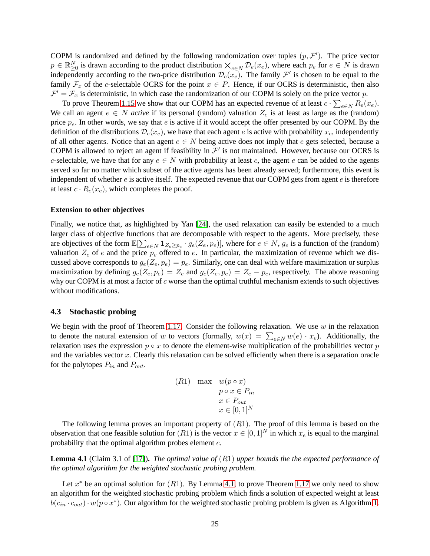COPM is randomized and defined by the following randomization over tuples  $(p, \mathcal{F}')$ . The price vector  $p \in \mathbb{R}_{\geq 0}^N$  is drawn according to the product distribution  $\times_{e \in N} \mathcal{D}_e(x_e)$ , where each  $p_e$  for  $e \in N$  is drawn independently according to the two-price distribution  $\mathcal{D}_e(x_e)$ . The family  $\mathcal{F}'$  is chosen to be equal to the family  $\mathcal{F}_x$  of the c-selectable OCRS for the point  $x \in P$ . Hence, if our OCRS is deterministic, then also  $\mathcal{F}' = \mathcal{F}_x$  is deterministic, in which case the randomization of our COPM is solely on the price vector p.

To prove Theorem [1.15](#page-8-3) we show that our COPM has an expected revenue of at least  $c \cdot \sum_{e \in N} R_e(x_e)$ . We call an agent  $e \in N$  *active* if its personal (random) valuation  $Z_e$  is at least as large as the (random) price  $p_e$ . In other words, we say that e is active if it would accept the offer presented by our COPM. By the definition of the distributions  $\mathcal{D}_e(x_e)$ , we have that each agent e is active with probability  $x_e$ , independently of all other agents. Notice that an agent  $e \in N$  being active does not imply that e gets selected, because a COPM is allowed to reject an agent if feasibility in  $\mathcal{F}'$  is not maintained. However, because our OCRS is c-selectable, we have that for any  $e \in N$  with probability at least c, the agent e can be added to the agents served so far no matter which subset of the active agents has been already served; furthermore, this event is independent of whether  $e$  is active itself. The expected revenue that our COPM gets from agent  $e$  is therefore at least  $c \cdot R_e(x_e)$ , which completes the proof.

#### **Extension to other objectives**

Finally, we notice that, as highlighted by Yan [\[24\]](#page-31-0), the used relaxation can easily be extended to a much larger class of objective functions that are decomposable with respect to the agents. More precisely, these are objectives of the form  $\mathbb{E}[\sum_{e \in N} \mathbf{1}_{Z_e \geq p_e} \cdot g_e(Z_e, p_e)]$ , where for  $e \in N$ ,  $g_e$  is a function of the (random) valuation  $Z_e$  of e and the price  $p_e$  offered to e. In particular, the maximization of revenue which we discussed above corresponds to  $g_e(Z_e, p_e) = p_e$ . Similarly, one can deal with welfare maximization or surplus maximization by defining  $g_e(Z_e, p_e) = Z_e$  and  $g_e(Z_e, p_e) = Z_e - p_e$ , respectively. The above reasoning why our COPM is at most a factor of  $c$  worse than the optimal truthful mechanism extends to such objectives without modifications.

### **4.3 Stochastic probing**

We begin with the proof of Theorem [1.17.](#page-8-2) Consider the following relaxation. We use  $w$  in the relaxation to denote the natural extension of w to vectors (formally,  $w(x) = \sum_{e \in N} w(e) \cdot x_e$ ). Additionally, the relaxation uses the expression  $p \circ x$  to denote the element-wise multiplication of the probabilities vector p and the variables vector  $x$ . Clearly this relaxation can be solved efficiently when there is a separation oracle for the polytopes  $P_{in}$  and  $P_{out}$ .

(R1) max 
$$
w(p \circ x)
$$
  
\n $p \circ x \in P_{in}$   
\n $x \in P_{out}$   
\n $x \in [0, 1]^N$ 

The following lemma proves an important property of  $(R1)$ . The proof of this lemma is based on the observation that one feasible solution for  $(R1)$  is the vector  $x \in [0,1]^N$  in which  $x_e$  is equal to the marginal probability that the optimal algorithm probes element e.

<span id="page-25-0"></span>**Lemma 4.1** (Claim 3.1 of [\[17\]](#page-31-2))**.** *The optimal value of* (R1) *upper bounds the the expected performance of the optimal algorithm for the weighted stochastic probing problem.*

Let  $x^*$  be an optimal solution for  $(R1)$ . By Lemma [4.1,](#page-25-0) to prove Theorem [1.17](#page-8-2) we only need to show an algorithm for the weighted stochastic probing problem which finds a solution of expected weight at least  $b(c_{in} \cdot c_{out}) \cdot w(p \circ x^*)$ . Our algorithm for the weighted stochastic probing problem is given as Algorithm [1.](#page-26-0)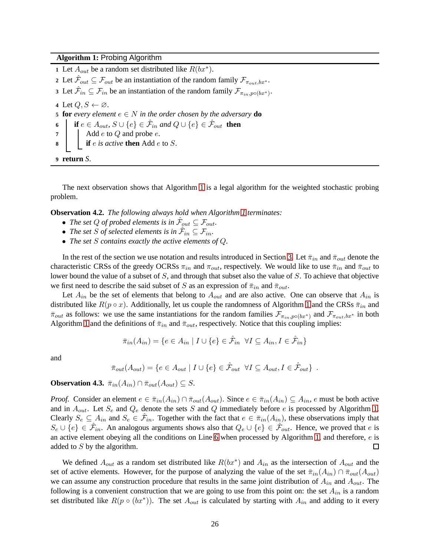<span id="page-26-0"></span>**Algorithm 1:** Probing Algorithm

<span id="page-26-1"></span>1 Let  $A_{out}$  be a random set distributed like  $R(bx^*)$ . 2 Let  $\hat{\mathcal{F}}_{out} \subseteq \mathcal{F}_{out}$  be an instantiation of the random family  $\mathcal{F}_{\pi_{out},bx^*}$ . Let  $\hat{\mathcal{F}}_{in} \subseteq \mathcal{F}_{in}$  be an instantiation of the random family  $\mathcal{F}_{\pi_{in},p \circ (bx^*)}$ . Let  $Q, S \leftarrow \emptyset$ . **for** *every element*  $e ∈ N$  *in the order chosen by the adversary* **do | if**  $e \in A_{out}$ ,  $S \cup \{e\} \in \hat{\mathcal{F}}_{in}$  and  $Q \cup \{e\} \in \hat{\mathcal{F}}_{out}$  **then**   $\blacksquare$  Add *e* to *Q* and probe *e*. **if** e *is active* **then** Add e to S. **return** *S*.

The next observation shows that Algorithm [1](#page-26-0) is a legal algorithm for the weighted stochastic probing problem.

**Observation 4.2.** *The following always hold when Algorithm [1](#page-26-0) terminates:*

- The set Q of probed elements is in  $\hat{\mathcal{F}}_{out} \subseteq \mathcal{F}_{out}$ .
- The set S of selected elements is in  $\hat{\mathcal{F}}_{in} \subseteq \mathcal{F}_{in}$ .
- *The set* S *contains exactly the active elements of* Q*.*

In the rest of the section we use notation and results introduced in Section [3.](#page-16-0) Let  $\bar{\pi}_{in}$  and  $\bar{\pi}_{out}$  denote the characteristic CRSs of the greedy OCRSs  $\pi_{in}$  and  $\pi_{out}$ , respectively. We would like to use  $\bar{\pi}_{in}$  and  $\bar{\pi}_{out}$  to lower bound the value of a subset of S, and through that subset also the value of S. To achieve that objective we first need to describe the said subset of S as an expression of  $\bar{\pi}_{in}$  and  $\bar{\pi}_{out}$ .

Let  $A_{in}$  be the set of elements that belong to  $A_{out}$  and are also active. One can observe that  $A_{in}$  is distributed like  $R(p \circ x)$ . Additionally, let us couple the randomness of Algorithm [1](#page-26-0) and the CRSs  $\bar{\pi}_{in}$  and  $\bar{\pi}_{out}$  as follows: we use the same instantiations for the random families  $\mathcal{F}_{\pi_{in},p\circ (bx^*)}$  and  $\mathcal{F}_{\pi_{out},bx^*}$  in both Algorithm [1](#page-26-0) and the definitions of  $\bar{\pi}_{in}$  and  $\bar{\pi}_{out}$ , respectively. Notice that this coupling implies:

$$
\bar{\pi}_{in}(A_{in}) = \{ e \in A_{in} \mid I \cup \{ e \} \in \hat{\mathcal{F}}_{in} \ \forall I \subseteq A_{in}, I \in \hat{\mathcal{F}}_{in} \}
$$

and

$$
\bar{\pi}_{out}(A_{out}) = \{ e \in A_{out} \mid I \cup \{ e \} \in \hat{\mathcal{F}}_{out} \ \forall I \subseteq A_{out}, I \in \hat{\mathcal{F}}_{out} \} .
$$

<span id="page-26-2"></span>**Observation 4.3.**  $\bar{\pi}_{in}(A_{in}) \cap \bar{\pi}_{out}(A_{out}) \subseteq S$ .

*Proof.* Consider an element  $e \in \overline{\pi}_{in}(A_{in}) \cap \overline{\pi}_{out}(A_{out})$ . Since  $e \in \overline{\pi}_{in}(A_{in}) \subseteq A_{in}$ , e must be both active and in  $A_{out}$ . Let  $S_e$  and  $Q_e$  denote the sets S and Q immediately before e is processed by Algorithm [1.](#page-26-0) Clearly  $S_e \subseteq A_{in}$  and  $S_e \in \hat{\mathcal{F}}_{in}$ . Together with the fact that  $e \in \bar{\pi}_{in}(A_{in})$ , these observations imply that  $S_e \cup \{e\} \in \hat{\mathcal{F}}_{in}$ . An analogous arguments shows also that  $Q_e \cup \{e\} \in \hat{\mathcal{F}}_{out}$ . Hence, we proved that e is an active element obeying all the conditions on Line [6](#page-26-1) when processed by Algorithm [1,](#page-26-0) and therefore, e is added to S by the algorithm.  $\Box$ 

We defined  $A_{out}$  as a random set distributed like  $R(bx^*)$  and  $A_{in}$  as the intersection of  $A_{out}$  and the set of active elements. However, for the purpose of analyzing the value of the set  $\bar{\pi}_{in}(A_{in}) \cap \bar{\pi}_{out}(A_{out})$ we can assume any construction procedure that results in the same joint distribution of  $A_{in}$  and  $A_{out}$ . The following is a convenient construction that we are going to use from this point on: the set  $A_{in}$  is a random set distributed like  $R(p \circ (bx^*))$ . The set  $A_{out}$  is calculated by starting with  $A_{in}$  and adding to it every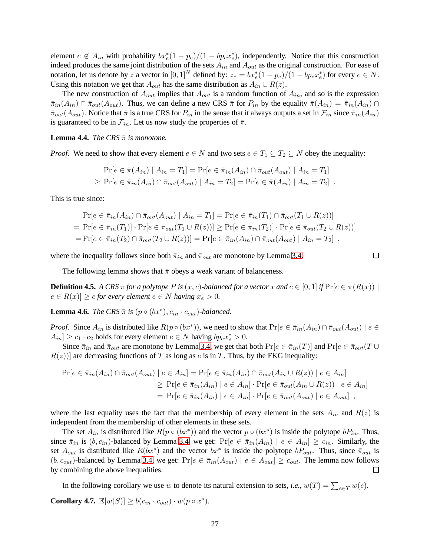element  $e \notin A_{in}$  with probability  $bx_e^*(1-p_e)/(1 - bp_e x_e^*)$ , independently. Notice that this construction indeed produces the same joint distribution of the sets  $A_{in}$  and  $A_{out}$  as the original construction. For ease of notation, let us denote by z a vector in  $[0,1]^N$  defined by:  $z_e = bx_e^*(1-p_e)/(1 - bp_e x_e^*)$  for every  $e \in N$ . Using this notation we get that  $A_{out}$  has the same distribution as  $A_{in} \cup R(z)$ .

The new construction of  $A_{out}$  implies that  $A_{out}$  is a random function of  $A_{in}$ , and so is the expression  $\bar{\pi}_{in}(A_{in}) \cap \bar{\pi}_{out}(A_{out})$ . Thus, we can define a new CRS  $\bar{\pi}$  for  $P_{in}$  by the equality  $\bar{\pi}(A_{in}) = \bar{\pi}_{in}(A_{in}) \cap$  $\bar{\pi}_{out}(A_{out})$ . Notice that  $\bar{\pi}$  is a true CRS for  $P_{in}$  in the sense that it always outputs a set in  $\mathcal{F}_{in}$  since  $\bar{\pi}_{in}(A_{in})$ is guaranteed to be in  $\mathcal{F}_{in}$ . Let us now study the properties of  $\bar{\pi}$ .

<span id="page-27-1"></span>**Lemma 4.4.** *The CRS*  $\bar{\pi}$  *is monotone.* 

*Proof.* We need to show that every element  $e \in N$  and two sets  $e \in T_1 \subseteq T_2 \subseteq N$  obey the inequality:

$$
\Pr[e \in \bar{\pi}(A_{in}) \mid A_{in} = T_1] = \Pr[e \in \bar{\pi}_{in}(A_{in}) \cap \bar{\pi}_{out}(A_{out}) \mid A_{in} = T_1]
$$
  
\n
$$
\geq \Pr[e \in \bar{\pi}_{in}(A_{in}) \cap \bar{\pi}_{out}(A_{out}) \mid A_{in} = T_2] = \Pr[e \in \bar{\pi}(A_{in}) \mid A_{in} = T_2]
$$

This is true since:

$$
\Pr[e \in \bar{\pi}_{in}(A_{in}) \cap \bar{\pi}_{out}(A_{out}) \mid A_{in} = T_1] = \Pr[e \in \bar{\pi}_{in}(T_1) \cap \bar{\pi}_{out}(T_1 \cup R(z))]
$$
\n
$$
= \Pr[e \in \bar{\pi}_{in}(T_1)] \cdot \Pr[e \in \bar{\pi}_{out}(T_1 \cup R(z))] \ge \Pr[e \in \bar{\pi}_{in}(T_2)] \cdot \Pr[e \in \bar{\pi}_{out}(T_2 \cup R(z))]
$$
\n
$$
= \Pr[e \in \bar{\pi}_{in}(T_2) \cap \bar{\pi}_{out}(T_2 \cup R(z))] = \Pr[e \in \bar{\pi}_{in}(A_{in}) \cap \bar{\pi}_{out}(A_{out}) \mid A_{in} = T_2],
$$

 $\Box$ 

where the inequality follows since both  $\bar{\pi}_{in}$  and  $\bar{\pi}_{out}$  are monotone by Lemma [3.4.](#page-17-0)

The following lemma shows that  $\bar{\pi}$  obeys a weak variant of balanceness.

**Definition 4.5.** *A CRS*  $\pi$  *for a polytope P is* (*x*, *c*)*-balanced for a vector x and*  $c \in [0,1]$  *if*  $\Pr[e \in \pi(R(x))]$  $e \in R(x) \geq c$  *for every element*  $e \in N$  *having*  $x_e > 0$ *.* 

<span id="page-27-0"></span>**Lemma 4.6.** *The CRS*  $\bar{\pi}$  *is* ( $p \circ (bx^*)$ ,  $c_{in} \cdot c_{out}$ )*-balanced.* 

*Proof.* Since  $A_{in}$  is distributed like  $R(p \circ (bx^*))$ , we need to show that  $Pr[e \in \bar{\pi}_{in}(A_{in}) \cap \bar{\pi}_{out}(A_{out}) | e \in$  $A_{in}$   $\geq c_1 \cdot c_2$  holds for every element  $e \in N$  having  $bp_e x_e^* > 0$ .

Since  $\bar{\pi}_{in}$  and  $\bar{\pi}_{out}$  are monotone by Lemma [3.4,](#page-17-0) we get that both  $Pr[e \in \bar{\pi}_{in}(T)]$  and  $Pr[e \in \bar{\pi}_{out}(T \cup$  $R(z)$ ] are decreasing functions of T as long as e is in T. Thus, by the FKG inequality:

$$
\Pr[e \in \bar{\pi}_{in}(A_{in}) \cap \bar{\pi}_{out}(A_{out}) \mid e \in A_{in}] = \Pr[e \in \bar{\pi}_{in}(A_{in}) \cap \bar{\pi}_{out}(A_{in} \cup R(z)) \mid e \in A_{in}] \geq \Pr[e \in \bar{\pi}_{in}(A_{in}) \mid e \in A_{in}] \cdot \Pr[e \in \bar{\pi}_{out}(A_{in} \cup R(z)) \mid e \in A_{in}] = \Pr[e \in \bar{\pi}_{in}(A_{in}) \mid e \in A_{in}] \cdot \Pr[e \in \bar{\pi}_{out}(A_{out}) \mid e \in A_{out}] ,
$$

where the last equality uses the fact that the membership of every element in the sets  $A_{in}$  and  $R(z)$  is independent from the membership of other elements in these sets.

The set  $A_{in}$  is distributed like  $R(p \circ (bx^*))$  and the vector  $p \circ (bx^*)$  is inside the polytope  $bP_{in}$ . Thus, since  $\bar{\pi}_{in}$  is  $(b, c_{in})$ -balanced by Lemma [3.4,](#page-17-0) we get:  $Pr[e \in \bar{\pi}_{in}(A_{in}) | e \in A_{in}] \ge c_{in}$ . Similarly, the set  $A_{out}$  is distributed like  $R(bx^*)$  and the vector  $bx^*$  is inside the polytope  $bP_{out}$ . Thus, since  $\bar{\pi}_{out}$  is  $(b, c_{out})$ -balanced by Lemma [3.4,](#page-17-0) we get:  $Pr[e \in \bar{\pi}_{in}(A_{out}) | e \in A_{out}] \ge c_{out}$ . The lemma now follows by combining the above inequalities.  $\Box$ 

In the following corollary we use w to denote its natural extension to sets, *i.e.*,  $w(T) = \sum_{e \in T} w(e)$ . **Corollary 4.7.**  $\mathbb{E}[w(S)] \geq b(c_{in} \cdot c_{out}) \cdot w(p \circ x^*)$ .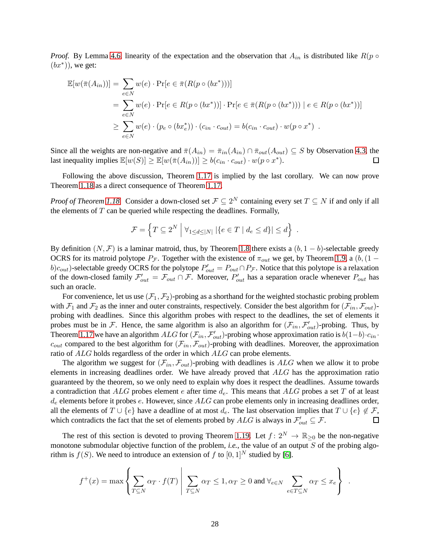*Proof.* By Lemma [4.6,](#page-27-0) linearity of the expectation and the observation that  $A_{in}$  is distributed like  $R(p \circ R)$  $(bx^*))$ , we get:

$$
\mathbb{E}[w(\bar{\pi}(A_{in}))] = \sum_{e \in N} w(e) \cdot \Pr[e \in \bar{\pi}(R(p \circ (bx^*)))]
$$
  
= 
$$
\sum_{e \in N} w(e) \cdot \Pr[e \in R(p \circ (bx^*))] \cdot \Pr[e \in \bar{\pi}(R(p \circ (bx^*))) \mid e \in R(p \circ (bx^*))]
$$
  

$$
\geq \sum_{e \in N} w(e) \cdot (p_e \circ (bx_e^*)) \cdot (c_{in} \cdot c_{out}) = b(c_{in} \cdot c_{out}) \cdot w(p \circ x^*) .
$$

Since all the weights are non-negative and  $\bar{\pi}(A_{in}) = \bar{\pi}_{in}(A_{in}) \cap \bar{\pi}_{out}(A_{out}) \subseteq S$  by Observation [4.3,](#page-26-2) the last inequality implies  $\mathbb{E}[w(S)] \geq \mathbb{E}[w(\bar{\pi}(A_{in}))] \geq b(c_{in} \cdot c_{out}) \cdot w(p \circ x^*)$ .  $\Box$ 

Following the above discussion, Theorem [1.17](#page-8-2) is implied by the last corollary. We can now prove Theorem [1.18](#page-9-0) as a direct consequence of Theorem [1.17.](#page-8-2)

*Proof of Theorem [1.18.](#page-9-0)* Consider a down-closed set  $\mathcal{F} \subseteq 2^N$  containing every set  $T \subseteq N$  if and only if all the elements of  $T$  can be queried while respecting the deadlines. Formally,

$$
\mathcal{F} = \left\{ T \subseteq 2^N \middle| \forall_{1 \leq d \leq |N|} |\{e \in T \mid d_e \leq d\}| \leq d \right\} .
$$

By definition  $(N, \mathcal{F})$  is a laminar matroid, thus, by Theorem [1.8](#page-4-1) there exists a  $(b, 1 - b)$ -selectable greedy OCRS for its matroid polytope  $P_{\mathcal{F}}$ . Together with the existence of  $\pi_{out}$  we get, by Theorem [1.9,](#page-4-3) a (b, (1 –  $b)c_{out}$ )-selectable greedy OCRS for the polytope  $P'_{out} = P_{out} \cap P_{\mathcal{F}}$ . Notice that this polytope is a relaxation of the down-closed family  $\mathcal{F}'_{out} = \mathcal{F}_{out} \cap \mathcal{F}$ . Moreover,  $P'_{out}$  has a separation oracle whenever  $P_{out}$  has such an oracle.

For convenience, let us use  $(\mathcal{F}_1, \mathcal{F}_2)$ -probing as a shorthand for the weighted stochastic probing problem with  $\mathcal{F}_1$  and  $\mathcal{F}_2$  as the inner and outer constraints, respectively. Consider the best algorithm for  $(\mathcal{F}_{in}, \mathcal{F}_{out})$ probing with deadlines. Since this algorithm probes with respect to the deadlines, the set of elements it probes must be in F. Hence, the same algorithm is also an algorithm for  $(\mathcal{F}_{in}, \mathcal{F}'_{out})$ -probing. Thus, by Theorem [1.17](#page-8-2) we have an algorithm ALG for  $(\mathcal{F}_{in}, \mathcal{F}'_{out})$ -probing whose approximation ratio is  $b(1-b) \cdot c_{in}$ .  $c_{out}$  compared to the best algorithm for  $(\mathcal{F}_{in}, \mathcal{F}_{out})$ -probing with deadlines. Moreover, the approximation ratio of ALG holds regardless of the order in which ALG can probe elements.

The algorithm we suggest for  $(\mathcal{F}_{in}, \mathcal{F}_{out})$ -probing with deadlines is ALG when we allow it to probe elements in increasing deadlines order. We have already proved that  $ALG$  has the approximation ratio guaranteed by the theorem, so we only need to explain why does it respect the deadlines. Assume towards a contradiction that ALG probes element e after time  $d_e$ . This means that ALG probes a set T of at least  $d_e$  elements before it probes  $e$ . However, since  $ALG$  can probe elements only in increasing deadlines order, all the elements of  $T \cup \{e\}$  have a deadline of at most  $d_e$ . The last observation implies that  $T \cup \{e\} \notin \mathcal{F}$ , which contradicts the fact that the set of elements probed by  $ALG$  is always in  $\mathcal{F}'_{out} \subseteq \mathcal{F}$ .  $\Box$ 

The rest of this section is devoted to proving Theorem [1.19.](#page-9-1) Let  $f: 2^N \to \mathbb{R}_{\geq 0}$  be the non-negative monotone submodular objective function of the problem, *i.e.*, the value of an output S of the probing algorithm is  $f(S)$ . We need to introduce an extension of f to  $[0, 1]^N$  studied by [\[6\]](#page-30-14).

$$
f^+(x) = \max\left\{\sum_{T \subseteq N} \alpha_T \cdot f(T) \middle| \sum_{T \subseteq N} \alpha_T \le 1, \alpha_T \ge 0 \text{ and } \forall_{e \in N} \sum_{e \in T \subseteq N} \alpha_T \le x_e\right\}
$$

.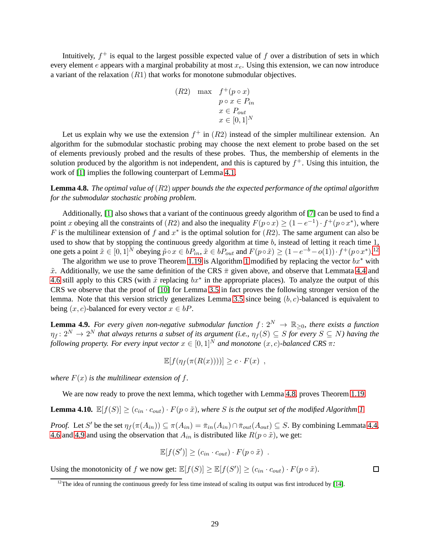Intuitively,  $f^+$  is equal to the largest possible expected value of f over a distribution of sets in which every element  $e$  appears with a marginal probability at most  $x_e$ . Using this extension, we can now introduce a variant of the relaxation  $(R1)$  that works for monotone submodular objectives.

(R2) max 
$$
f^+(p \circ x)
$$
  
\n $p \circ x \in P_{in}$   
\n $x \in P_{out}$   
\n $x \in [0, 1]^N$ 

Let us explain why we use the extension  $f^+$  in  $(R2)$  instead of the simpler multilinear extension. An algorithm for the submodular stochastic probing may choose the next element to probe based on the set of elements previously probed and the results of these probes. Thus, the membership of elements in the solution produced by the algorithm is not independent, and this is captured by  $f^+$ . Using this intuition, the work of [\[1\]](#page-30-1) implies the following counterpart of Lemma [4.1.](#page-25-0)

<span id="page-29-1"></span>**Lemma 4.8.** *The optimal value of* (R2) *upper bounds the the expected performance of the optimal algorithm for the submodular stochastic probing problem.*

Additionally, [\[1\]](#page-30-1) also shows that a variant of the continuous greedy algorithm of [\[7\]](#page-30-7) can be used to find a point x obeying all the constraints of  $(R2)$  and also the inequality  $F(p \circ x) \ge (1 - e^{-1}) \cdot f^{+}(p \circ x^{*})$ , where F is the multilinear extension of f and  $x^*$  is the optimal solution for  $(R2)$ . The same argument can also be used to show that by stopping the continuous greedy algorithm at time  $b$ , instead of letting it reach time  $1$ , one gets a point  $\tilde{x} \in [0,1]^N$  obeying  $\tilde{p} \circ x \in bP_{in}$ ,  $\tilde{x} \in bP_{out}$  and  $F(p \circ \tilde{x}) \ge (1 - e^{-b} - o(1)) \cdot f^+(p \circ x^*)$ .<sup>[12](#page-29-0)</sup>

The algorithm we use to prove Theorem [1.19](#page-9-1) is Algorithm [1](#page-26-0) modified by replacing the vector  $bx^*$  with  $\tilde{x}$ . Additionally, we use the same definition of the CRS  $\bar{\pi}$  given above, and observe that Lemmata [4.4](#page-27-1) and [4.6](#page-27-0) still apply to this CRS (with  $\tilde{x}$  replacing  $bx^*$  in the appropriate places). To analyze the output of this CRS we observe that the proof of [\[10\]](#page-30-6) for Lemma [3.5](#page-17-1) in fact proves the following stronger version of the lemma. Note that this version strictly generalizes Lemma [3.5](#page-17-1) since being  $(b, c)$ -balanced is equivalent to being  $(x, c)$ -balanced for every vector  $x \in bP$ .

<span id="page-29-2"></span>**Lemma 4.9.** For every given non-negative submodular function  $f: 2^N \to \mathbb{R}_{\geq 0}$ , there exists a function  $\eta_f\colon 2^N\to 2^N$  that always returns a subset of its argument (i.e.,  $\eta_f(S)\subseteq S$  for every  $S\subseteq N$ ) having the *following property. For every input vector*  $x \in [0,1]^N$  *and monotone*  $(x, c)$ *-balanced* CRS  $\pi$ *:* 

$$
\mathbb{E}[f(\eta_f(\pi(R(x))))] \ge c \cdot F(x) ,
$$

*where*  $F(x)$  *is the multilinear extension of f.* 

We are now ready to prove the next lemma, which together with Lemma [4.8,](#page-29-1) proves Theorem [1.19.](#page-9-1)

**Lemma 4.10.**  $\mathbb{E}[f(S)] \geq (c_{in} \cdot c_{out}) \cdot F(p \circ \tilde{x})$ *, where* S is the output set of the modified Algorithm [1.](#page-26-0)

*Proof.* Let S' be the set  $\eta_f(\pi(A_{in})) \subseteq \pi(A_{in}) = \overline{\pi}_{in}(A_{in}) \cap \overline{\pi}_{out}(A_{out}) \subseteq S$ . By combining Lemmata [4.4,](#page-27-1) [4.6](#page-27-0) and [4.9](#page-29-2) and using the observation that  $A_{in}$  is distributed like  $R(p \circ \tilde{x})$ , we get:

$$
\mathbb{E}[f(S')] \ge (c_{in} \cdot c_{out}) \cdot F(p \circ \tilde{x}) .
$$

 $\Box$ 

Using the monotonicity of f we now get:  $\mathbb{E}[f(S)] \geq \mathbb{E}[f(S')] \geq (c_{in} \cdot c_{out}) \cdot F(p \circ \tilde{x})$ .

<span id="page-29-0"></span> $12$ The idea of running the continuous greedy for less time instead of scaling its output was first introduced by [\[14\]](#page-30-8).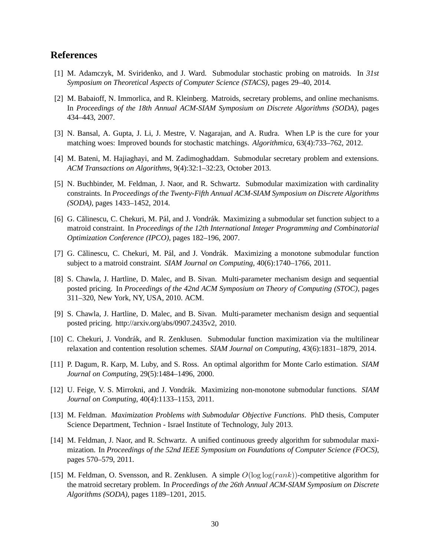# <span id="page-30-1"></span>**References**

- <span id="page-30-3"></span>[1] M. Adamczyk, M. Sviridenko, and J. Ward. Submodular stochastic probing on matroids. In *31st Symposium on Theoretical Aspects of Computer Science (STACS)*, pages 29–40, 2014.
- [2] M. Babaioff, N. Immorlica, and R. Kleinberg. Matroids, secretary problems, and online mechanisms. In *Proceedings of the 18th Annual ACM-SIAM Symposium on Discrete Algorithms (SODA)*, pages 434–443, 2007.
- <span id="page-30-5"></span><span id="page-30-2"></span>[3] N. Bansal, A. Gupta, J. Li, J. Mestre, V. Nagarajan, and A. Rudra. When LP is the cure for your matching woes: Improved bounds for stochastic matchings. *Algorithmica*, 63(4):733–762, 2012.
- <span id="page-30-12"></span>[4] M. Bateni, M. Hajiaghayi, and M. Zadimoghaddam. Submodular secretary problem and extensions. *ACM Transactions on Algorithms*, 9(4):32:1–32:23, October 2013.
- [5] N. Buchbinder, M. Feldman, J. Naor, and R. Schwartz. Submodular maximization with cardinality constraints. In *Proceedings of the Twenty-Fifth Annual ACM-SIAM Symposium on Discrete Algorithms (SODA)*, pages 1433–1452, 2014.
- <span id="page-30-14"></span>[6] G. Călinescu, C. Chekuri, M. Pál, and J. Vondrák. Maximizing a submodular set function subject to a matroid constraint. In *Proceedings of the 12th International Integer Programming and Combinatorial Optimization Conference (IPCO)*, pages 182–196, 2007.
- <span id="page-30-7"></span><span id="page-30-0"></span>[7] G. Călinescu, C. Chekuri, M. Pál, and J. Vondrák. Maximizing a monotone submodular function subject to a matroid constraint. *SIAM Journal on Computing*, 40(6):1740–1766, 2011.
- [8] S. Chawla, J. Hartline, D. Malec, and B. Sivan. Multi-parameter mechanism design and sequential posted pricing. In *Proceedings of the 42nd ACM Symposium on Theory of Computing (STOC)*, pages 311–320, New York, NY, USA, 2010. ACM.
- <span id="page-30-13"></span>[9] S. Chawla, J. Hartline, D. Malec, and B. Sivan. Multi-parameter mechanism design and sequential posted pricing. http://arxiv.org/abs/0907.2435v2, 2010.
- <span id="page-30-9"></span><span id="page-30-6"></span>[10] C. Chekuri, J. Vondrák, and R. Zenklusen. Submodular function maximization via the multilinear relaxation and contention resolution schemes. *SIAM Journal on Computing*, 43(6):1831–1879, 2014.
- <span id="page-30-11"></span>[11] P. Dagum, R. Karp, M. Luby, and S. Ross. An optimal algorithm for Monte Carlo estimation. *SIAM Journal on Computing*, 29(5):1484–1496, 2000.
- <span id="page-30-10"></span>[12] U. Feige, V. S. Mirrokni, and J. Vondrák. Maximizing non-monotone submodular functions. *SIAM Journal on Computing*, 40(4):1133–1153, 2011.
- [13] M. Feldman. *Maximization Problems with Submodular Objective Functions*. PhD thesis, Computer Science Department, Technion - Israel Institute of Technology, July 2013.
- <span id="page-30-8"></span>[14] M. Feldman, J. Naor, and R. Schwartz. A unified continuous greedy algorithm for submodular maximization. In *Proceedings of the 52nd IEEE Symposium on Foundations of Computer Science (FOCS)*, pages 570–579, 2011.
- <span id="page-30-4"></span>[15] M. Feldman, O. Svensson, and R. Zenklusen. A simple  $O(log log (rank))$ -competitive algorithm for the matroid secretary problem. In *Proceedings of the 26th Annual ACM-SIAM Symposium on Discrete Algorithms (SODA)*, pages 1189–1201, 2015.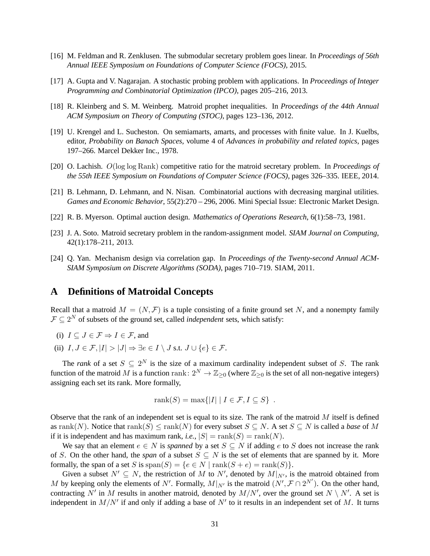- <span id="page-31-5"></span><span id="page-31-2"></span>[16] M. Feldman and R. Zenklusen. The submodular secretary problem goes linear. In *Proceedings of 56th Annual IEEE Symposium on Foundations of Computer Science (FOCS)*, 2015.
- <span id="page-31-1"></span>[17] A. Gupta and V. Nagarajan. A stochastic probing problem with applications. In *Proceedings of Integer Programming and Combinatorial Optimization (IPCO)*, pages 205–216, 2013.
- <span id="page-31-6"></span>[18] R. Kleinberg and S. M. Weinberg. Matroid prophet inequalities. In *Proceedings of the 44th Annual ACM Symposium on Theory of Computing (STOC)*, pages 123–136, 2012.
- [19] U. Krengel and L. Sucheston. On semiamarts, amarts, and processes with finite value. In J. Kuelbs, editor, *Probability on Banach Spaces*, volume 4 of *Advances in probability and related topics*, pages 197–266. Marcel Dekker Inc., 1978.
- <span id="page-31-4"></span><span id="page-31-3"></span>[20] O. Lachish. O(log log Rank) competitive ratio for the matroid secretary problem. In *Proceedings of the 55th IEEE Symposium on Foundations of Computer Science (FOCS)*, pages 326–335. IEEE, 2014.
- <span id="page-31-7"></span>[21] B. Lehmann, D. Lehmann, and N. Nisan. Combinatorial auctions with decreasing marginal utilities. *Games and Economic Behavior*, 55(2):270 – 296, 2006. Mini Special Issue: Electronic Market Design.
- <span id="page-31-9"></span>[22] R. B. Myerson. Optimal auction design. *Mathematics of Operations Research*, 6(1):58–73, 1981.
- <span id="page-31-0"></span>[23] J. A. Soto. Matroid secretary problem in the random-assignment model. *SIAM Journal on Computing*, 42(1):178–211, 2013.
- [24] Q. Yan. Mechanism design via correlation gap. In *Proceedings of the Twenty-second Annual ACM-SIAM Symposium on Discrete Algorithms (SODA)*, pages 710–719. SIAM, 2011.

# <span id="page-31-8"></span>**A Definitions of Matroidal Concepts**

Recall that a matroid  $M = (N, \mathcal{F})$  is a tuple consisting of a finite ground set N, and a nonempty family  $\mathcal{F} \subseteq 2^N$  of subsets of the ground set, called *independent* sets, which satisfy:

- (i)  $I \subseteq J \in \mathcal{F} \Rightarrow I \in \mathcal{F}$ , and
- (ii)  $I, J \in \mathcal{F}, |I| > |J| \Rightarrow \exists e \in I \setminus J \text{ s.t. } J \cup \{e\} \in \mathcal{F}.$

The *rank* of a set  $S \subseteq 2^N$  is the size of a maximum cardinality independent subset of S. The rank function of the matroid M is a function rank:  $2^N \to \mathbb{Z}_{\geq 0}$  (where  $\mathbb{Z}_{\geq 0}$  is the set of all non-negative integers) assigning each set its rank. More formally,

$$
rank(S) = max\{|I| | I \in \mathcal{F}, I \subseteq S\} .
$$

Observe that the rank of an independent set is equal to its size. The rank of the matroid  $M$  itself is defined as rank(N). Notice that  $rank(S) \le rank(N)$  for every subset  $S \subseteq N$ . A set  $S \subseteq N$  is called a *base* of M if it is independent and has maximum rank, *i.e.*,  $|S| = \text{rank}(S) = \text{rank}(N)$ .

We say that an element  $e \in N$  is *spanned* by a set  $S \subseteq N$  if adding e to S does not increase the rank of S. On the other hand, the *span* of a subset  $S \subseteq N$  is the set of elements that are spanned by it. More formally, the span of a set S is  $\text{span}(S) = \{e \in N \mid \text{rank}(S + e) = \text{rank}(S)\}.$ 

Given a subset  $N' \subseteq N$ , the restriction of M to N', denoted by  $M|_{N'}$ , is the matroid obtained from M by keeping only the elements of N'. Formally,  $M|_{N'}$  is the matroid  $(N', \mathcal{F} \cap 2^{N'})$ . On the other hand, contracting N' in M results in another matroid, denoted by  $M/N'$ , over the ground set  $N \setminus N'$ . A set is independent in  $M/N'$  if and only if adding a base of  $N'$  to it results in an independent set of M. It turns